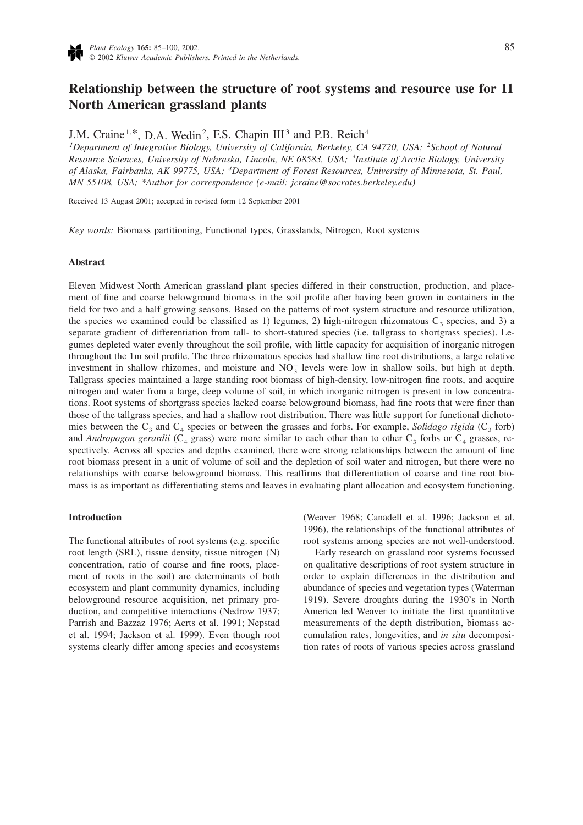

# **Relationship between the structure of root systems and resource use for 11 North American grassland plants**

J.M. Craine<sup>1,\*</sup>, D.A. Wedin<sup>2</sup>, F.S. Chapin  $III<sup>3</sup>$  and P.B. Reich<sup>4</sup>

*1 Department of Integrative Biology, University of California, Berkeley, CA 94720, USA; <sup>2</sup> School of Natural Resource Sciences, University of Nebraska, Lincoln, NE 68583, USA; <sup>3</sup> Institute of Arctic Biology, University of Alaska, Fairbanks, AK 99775, USA; <sup>4</sup> Department of Forest Resources, University of Minnesota, St. Paul, MN 55108, USA; \*Author for correspondence (e-mail: jcraine@socrates.berkeley.edu)*

Received 13 August 2001; accepted in revised form 12 September 2001

*Key words:* Biomass partitioning, Functional types, Grasslands, Nitrogen, Root systems

## **Abstract**

Eleven Midwest North American grassland plant species differed in their construction, production, and placement of fine and coarse belowground biomass in the soil profile after having been grown in containers in the field for two and a half growing seasons. Based on the patterns of root system structure and resource utilization, the species we examined could be classified as 1) legumes, 2) high-nitrogen rhizomatous  $C_3$  species, and 3) a separate gradient of differentiation from tall- to short-statured species (i.e. tallgrass to shortgrass species). Legumes depleted water evenly throughout the soil profile, with little capacity for acquisition of inorganic nitrogen throughout the 1m soil profile. The three rhizomatous species had shallow fine root distributions, a large relative investment in shallow rhizomes, and moisture and  $NO<sub>3</sub><sup>-</sup>$  levels were low in shallow soils, but high at depth. Tallgrass species maintained a large standing root biomass of high-density, low-nitrogen fine roots, and acquire nitrogen and water from a large, deep volume of soil, in which inorganic nitrogen is present in low concentrations. Root systems of shortgrass species lacked coarse belowground biomass, had fine roots that were finer than those of the tallgrass species, and had a shallow root distribution. There was little support for functional dichotomies between the  $C_3$  and  $C_4$  species or between the grasses and forbs. For example, *Solidago rigida* ( $C_3$  forb) and *Andropogon gerardii* ( $C_4$  grass) were more similar to each other than to other  $C_3$  forbs or  $C_4$  grasses, respectively. Across all species and depths examined, there were strong relationships between the amount of fine root biomass present in a unit of volume of soil and the depletion of soil water and nitrogen, but there were no relationships with coarse belowground biomass. This reaffirms that differentiation of coarse and fine root biomass is as important as differentiating stems and leaves in evaluating plant allocation and ecosystem functioning.

## **Introduction**

The functional attributes of root systems (e.g. specific root length (SRL), tissue density, tissue nitrogen (N) concentration, ratio of coarse and fine roots, placement of roots in the soil) are determinants of both ecosystem and plant community dynamics, including belowground resource acquisition, net primary production, and competitive interactions (Nedrow 1937; Parrish and Bazzaz 1976; Aerts et al. 1991; Nepstad et al. 1994; Jackson et al. 1999). Even though root systems clearly differ among species and ecosystems (Weaver 1968; Canadell et al. 1996; Jackson et al. 1996), the relationships of the functional attributes of root systems among species are not well-understood.

Early research on grassland root systems focussed on qualitative descriptions of root system structure in order to explain differences in the distribution and abundance of species and vegetation types (Waterman 1919). Severe droughts during the 1930's in North America led Weaver to initiate the first quantitative measurements of the depth distribution, biomass accumulation rates, longevities, and *in situ* decomposition rates of roots of various species across grassland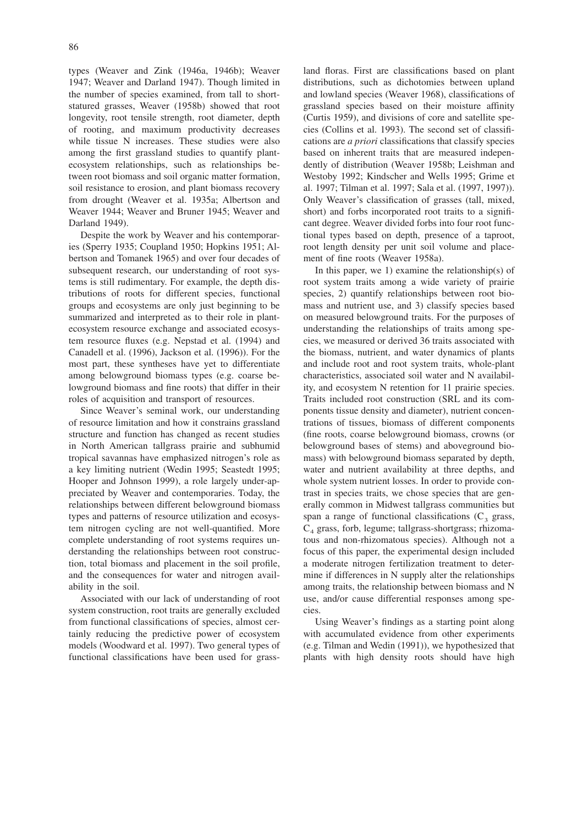types (Weaver and Zink (1946a, 1946b); Weaver 1947; Weaver and Darland 1947). Though limited in the number of species examined, from tall to shortstatured grasses, Weaver (1958b) showed that root longevity, root tensile strength, root diameter, depth of rooting, and maximum productivity decreases while tissue N increases. These studies were also among the first grassland studies to quantify plantecosystem relationships, such as relationships between root biomass and soil organic matter formation, soil resistance to erosion, and plant biomass recovery from drought (Weaver et al. 1935a; Albertson and Weaver 1944; Weaver and Bruner 1945; Weaver and Darland 1949).

Despite the work by Weaver and his contemporaries (Sperry 1935; Coupland 1950; Hopkins 1951; Albertson and Tomanek 1965) and over four decades of subsequent research, our understanding of root systems is still rudimentary. For example, the depth distributions of roots for different species, functional groups and ecosystems are only just beginning to be summarized and interpreted as to their role in plantecosystem resource exchange and associated ecosystem resource fluxes (e.g. Nepstad et al. (1994) and Canadell et al. (1996), Jackson et al. (1996)). For the most part, these syntheses have yet to differentiate among belowground biomass types (e.g. coarse belowground biomass and fine roots) that differ in their roles of acquisition and transport of resources.

Since Weaver's seminal work, our understanding of resource limitation and how it constrains grassland structure and function has changed as recent studies in North American tallgrass prairie and subhumid tropical savannas have emphasized nitrogen's role as a key limiting nutrient (Wedin 1995; Seastedt 1995; Hooper and Johnson 1999), a role largely under-appreciated by Weaver and contemporaries. Today, the relationships between different belowground biomass types and patterns of resource utilization and ecosystem nitrogen cycling are not well-quantified. More complete understanding of root systems requires understanding the relationships between root construction, total biomass and placement in the soil profile, and the consequences for water and nitrogen availability in the soil.

Associated with our lack of understanding of root system construction, root traits are generally excluded from functional classifications of species, almost certainly reducing the predictive power of ecosystem models (Woodward et al. 1997). Two general types of functional classifications have been used for grassland floras. First are classifications based on plant distributions, such as dichotomies between upland and lowland species (Weaver 1968), classifications of grassland species based on their moisture affinity (Curtis 1959), and divisions of core and satellite species (Collins et al. 1993). The second set of classifications are *a priori* classifications that classify species based on inherent traits that are measured independently of distribution (Weaver 1958b; Leishman and Westoby 1992; Kindscher and Wells 1995; Grime et al. 1997; Tilman et al. 1997; Sala et al. (1997, 1997)). Only Weaver's classification of grasses (tall, mixed, short) and forbs incorporated root traits to a significant degree. Weaver divided forbs into four root functional types based on depth, presence of a taproot, root length density per unit soil volume and placement of fine roots (Weaver 1958a).

In this paper, we 1) examine the relationship(s) of root system traits among a wide variety of prairie species, 2) quantify relationships between root biomass and nutrient use, and 3) classify species based on measured belowground traits. For the purposes of understanding the relationships of traits among species, we measured or derived 36 traits associated with the biomass, nutrient, and water dynamics of plants and include root and root system traits, whole-plant characteristics, associated soil water and N availability, and ecosystem N retention for 11 prairie species. Traits included root construction (SRL and its components tissue density and diameter), nutrient concentrations of tissues, biomass of different components (fine roots, coarse belowground biomass, crowns (or belowground bases of stems) and aboveground biomass) with belowground biomass separated by depth, water and nutrient availability at three depths, and whole system nutrient losses. In order to provide contrast in species traits, we chose species that are generally common in Midwest tallgrass communities but span a range of functional classifications  $(C_3$  grass,  $C<sub>4</sub>$  grass, forb, legume; tallgrass-shortgrass; rhizomatous and non-rhizomatous species). Although not a focus of this paper, the experimental design included a moderate nitrogen fertilization treatment to determine if differences in N supply alter the relationships among traits, the relationship between biomass and N use, and/or cause differential responses among species.

Using Weaver's findings as a starting point along with accumulated evidence from other experiments (e.g. Tilman and Wedin (1991)), we hypothesized that plants with high density roots should have high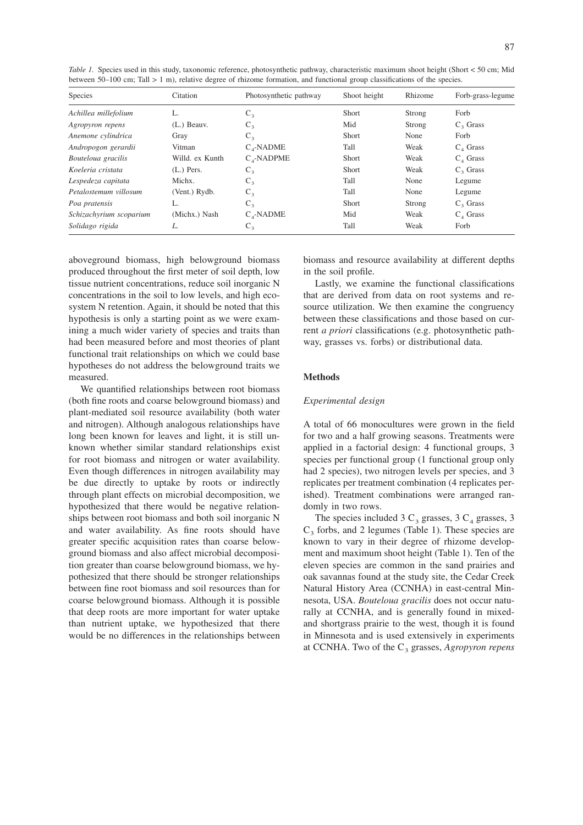| <b>Species</b>          | Citation        | Photosynthetic pathway | Shoot height | Rhizome | Forb-grass-legume |
|-------------------------|-----------------|------------------------|--------------|---------|-------------------|
| Achillea millefolium    | L.              | $C_{3}$                | Short        | Strong  | Forb              |
| Agropyron repens        | $(L.)$ Beauv.   | $C_{3}$                | Mid          | Strong  | $C_3$ Grass       |
| Anemone cylindrica      | Gray            | C <sub>3</sub>         | Short        | None    | Forb              |
| Andropogon gerardii     | Vitman          | $C4-NADME$             | Tall         | Weak    | $C4$ Grass        |
| Bouteloua gracilis      | Willd. ex Kunth | $C4-NADPME$            | Short        | Weak    | $C4$ Grass        |
| Koeleria cristata       | $(L.)$ Pers.    | $C_{3}$                | Short        | Weak    | $C3$ Grass        |
| Lespedeza capitata      | Michx.          | $C_{3}$                | Tall         | None    | Legume            |
| Petalostemum villosum   | (Vent.) Rydb.   | C <sub>3</sub>         | Tall         | None    | Legume            |
| Poa pratensis           | L.              | $C_{3}$                | Short        | Strong  | $C_3$ Grass       |
| Schizachyrium scoparium | (Michx.) Nash   | $C4-NADME$             | Mid          | Weak    | $C4$ Grass        |
| Solidago rigida         | L.              | $C_3$                  | Tall         | Weak    | Forb              |
|                         |                 |                        |              |         |                   |

*Table 1.* Species used in this study, taxonomic reference, photosynthetic pathway, characteristic maximum shoot height (Short < 50 cm; Mid between 50–100 cm; Tall > 1 m), relative degree of rhizome formation, and functional group classifications of the species.

aboveground biomass, high belowground biomass produced throughout the first meter of soil depth, low tissue nutrient concentrations, reduce soil inorganic N concentrations in the soil to low levels, and high ecosystem N retention. Again, it should be noted that this hypothesis is only a starting point as we were examining a much wider variety of species and traits than had been measured before and most theories of plant functional trait relationships on which we could base hypotheses do not address the belowground traits we measured.

We quantified relationships between root biomass (both fine roots and coarse belowground biomass) and plant-mediated soil resource availability (both water and nitrogen). Although analogous relationships have long been known for leaves and light, it is still unknown whether similar standard relationships exist for root biomass and nitrogen or water availability. Even though differences in nitrogen availability may be due directly to uptake by roots or indirectly through plant effects on microbial decomposition, we hypothesized that there would be negative relationships between root biomass and both soil inorganic N and water availability. As fine roots should have greater specific acquisition rates than coarse belowground biomass and also affect microbial decomposition greater than coarse belowground biomass, we hypothesized that there should be stronger relationships between fine root biomass and soil resources than for coarse belowground biomass. Although it is possible that deep roots are more important for water uptake than nutrient uptake, we hypothesized that there would be no differences in the relationships between

biomass and resource availability at different depths in the soil profile.

Lastly, we examine the functional classifications that are derived from data on root systems and resource utilization. We then examine the congruency between these classifications and those based on current *a priori* classifications (e.g. photosynthetic pathway, grasses vs. forbs) or distributional data.

## **Methods**

# *Experimental design*

A total of 66 monocultures were grown in the field for two and a half growing seasons. Treatments were applied in a factorial design: 4 functional groups, 3 species per functional group (1 functional group only had 2 species), two nitrogen levels per species, and 3 replicates per treatment combination (4 replicates perished). Treatment combinations were arranged randomly in two rows.

The species included 3  $C_3$  grasses, 3  $C_4$  grasses, 3  $C_3$  forbs, and 2 legumes (Table 1). These species are known to vary in their degree of rhizome development and maximum shoot height (Table 1). Ten of the eleven species are common in the sand prairies and oak savannas found at the study site, the Cedar Creek Natural History Area (CCNHA) in east-central Minnesota, USA. *Bouteloua gracilis* does not occur naturally at CCNHA, and is generally found in mixedand shortgrass prairie to the west, though it is found in Minnesota and is used extensively in experiments at CCNHA. Two of the C<sub>3</sub> grasses, *Agropyron repens*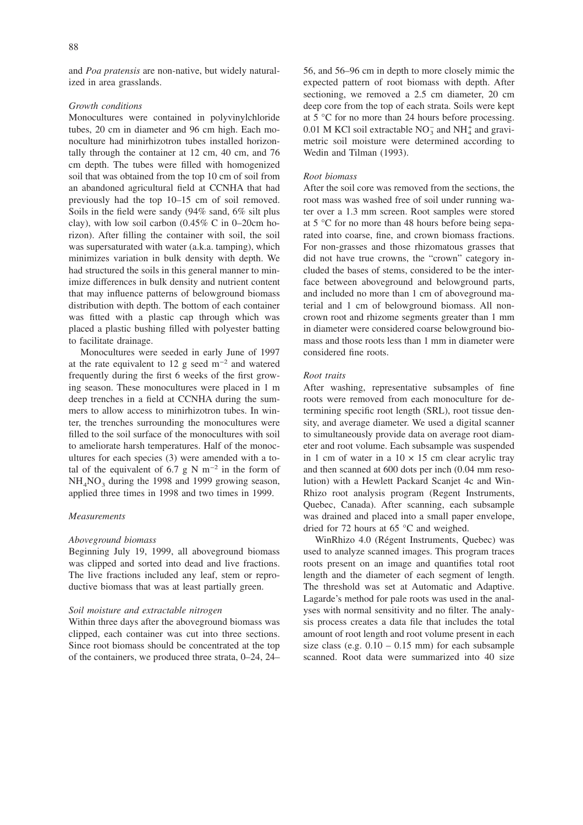and *Poa pratensis* are non-native, but widely naturalized in area grasslands.

#### *Growth conditions*

Monocultures were contained in polyvinylchloride tubes, 20 cm in diameter and 96 cm high. Each monoculture had minirhizotron tubes installed horizontally through the container at 12 cm, 40 cm, and 76 cm depth. The tubes were filled with homogenized soil that was obtained from the top 10 cm of soil from an abandoned agricultural field at CCNHA that had previously had the top 10–15 cm of soil removed. Soils in the field were sandy (94% sand, 6% silt plus clay), with low soil carbon (0.45% C in 0–20cm horizon). After filling the container with soil, the soil was supersaturated with water (a.k.a. tamping), which minimizes variation in bulk density with depth. We had structured the soils in this general manner to minimize differences in bulk density and nutrient content that may influence patterns of belowground biomass distribution with depth. The bottom of each container was fitted with a plastic cap through which was placed a plastic bushing filled with polyester batting to facilitate drainage.

Monocultures were seeded in early June of 1997 at the rate equivalent to 12 g seed  $m^{-2}$  and watered frequently during the first 6 weeks of the first growing season. These monocultures were placed in 1 m deep trenches in a field at CCNHA during the summers to allow access to minirhizotron tubes. In winter, the trenches surrounding the monocultures were filled to the soil surface of the monocultures with soil to ameliorate harsh temperatures. Half of the monocultures for each species (3) were amended with a total of the equivalent of 6.7 g N m<sup>-2</sup> in the form of  $NH<sub>4</sub>NO<sub>3</sub>$  during the 1998 and 1999 growing season, applied three times in 1998 and two times in 1999.

#### *Measurements*

# *Aboveground biomass*

Beginning July 19, 1999, all aboveground biomass was clipped and sorted into dead and live fractions. The live fractions included any leaf, stem or reproductive biomass that was at least partially green.

#### *Soil moisture and extractable nitrogen*

Within three days after the aboveground biomass was clipped, each container was cut into three sections. Since root biomass should be concentrated at the top of the containers, we produced three strata, 0–24, 24–

56, and 56–96 cm in depth to more closely mimic the expected pattern of root biomass with depth. After sectioning, we removed a 2.5 cm diameter, 20 cm deep core from the top of each strata. Soils were kept at 5 °C for no more than 24 hours before processing. 0.01 M KCl soil extractable  $NO_3^-$  and  $NH_4^+$  and gravimetric soil moisture were determined according to Wedin and Tilman (1993).

# *Root biomass*

After the soil core was removed from the sections, the root mass was washed free of soil under running water over a 1.3 mm screen. Root samples were stored at 5 °C for no more than 48 hours before being separated into coarse, fine, and crown biomass fractions. For non-grasses and those rhizomatous grasses that did not have true crowns, the "crown" category included the bases of stems, considered to be the interface between aboveground and belowground parts, and included no more than 1 cm of aboveground material and 1 cm of belowground biomass. All noncrown root and rhizome segments greater than 1 mm in diameter were considered coarse belowground biomass and those roots less than 1 mm in diameter were considered fine roots.

#### *Root traits*

After washing, representative subsamples of fine roots were removed from each monoculture for determining specific root length (SRL), root tissue density, and average diameter. We used a digital scanner to simultaneously provide data on average root diameter and root volume. Each subsample was suspended in 1 cm of water in a  $10 \times 15$  cm clear acrylic tray and then scanned at 600 dots per inch (0.04 mm resolution) with a Hewlett Packard Scanjet 4c and Win-Rhizo root analysis program (Regent Instruments, Quebec, Canada). After scanning, each subsample was drained and placed into a small paper envelope, dried for 72 hours at 65 °C and weighed.

WinRhizo 4.0 (Régent Instruments, Quebec) was used to analyze scanned images. This program traces roots present on an image and quantifies total root length and the diameter of each segment of length. The threshold was set at Automatic and Adaptive. Lagarde's method for pale roots was used in the analyses with normal sensitivity and no filter. The analysis process creates a data file that includes the total amount of root length and root volume present in each size class (e.g.  $0.10 - 0.15$  mm) for each subsample scanned. Root data were summarized into 40 size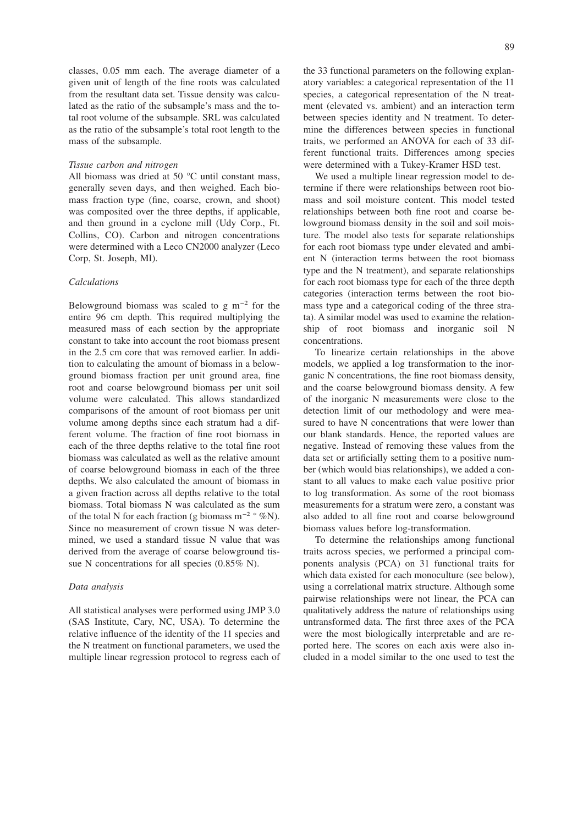classes, 0.05 mm each. The average diameter of a given unit of length of the fine roots was calculated from the resultant data set. Tissue density was calculated as the ratio of the subsample's mass and the total root volume of the subsample. SRL was calculated as the ratio of the subsample's total root length to the mass of the subsample.

#### *Tissue carbon and nitrogen*

All biomass was dried at 50 °C until constant mass, generally seven days, and then weighed. Each biomass fraction type (fine, coarse, crown, and shoot) was composited over the three depths, if applicable, and then ground in a cyclone mill (Udy Corp., Ft. Collins, CO). Carbon and nitrogen concentrations were determined with a Leco CN2000 analyzer (Leco Corp, St. Joseph, MI).

#### *Calculations*

Belowground biomass was scaled to g  $m^{-2}$  for the entire 96 cm depth. This required multiplying the measured mass of each section by the appropriate constant to take into account the root biomass present in the 2.5 cm core that was removed earlier. In addition to calculating the amount of biomass in a belowground biomass fraction per unit ground area, fine root and coarse belowground biomass per unit soil volume were calculated. This allows standardized comparisons of the amount of root biomass per unit volume among depths since each stratum had a different volume. The fraction of fine root biomass in each of the three depths relative to the total fine root biomass was calculated as well as the relative amount of coarse belowground biomass in each of the three depths. We also calculated the amount of biomass in a given fraction across all depths relative to the total biomass. Total biomass N was calculated as the sum of the total N for each fraction (g biomass m<sup>-2</sup>  $%$ N). Since no measurement of crown tissue N was determined, we used a standard tissue N value that was derived from the average of coarse belowground tissue N concentrations for all species (0.85% N).

# *Data analysis*

All statistical analyses were performed using JMP 3.0 (SAS Institute, Cary, NC, USA). To determine the relative influence of the identity of the 11 species and the N treatment on functional parameters, we used the multiple linear regression protocol to regress each of the 33 functional parameters on the following explanatory variables: a categorical representation of the 11 species, a categorical representation of the N treatment (elevated vs. ambient) and an interaction term between species identity and N treatment. To determine the differences between species in functional traits, we performed an ANOVA for each of 33 different functional traits. Differences among species were determined with a Tukey-Kramer HSD test.

We used a multiple linear regression model to determine if there were relationships between root biomass and soil moisture content. This model tested relationships between both fine root and coarse belowground biomass density in the soil and soil moisture. The model also tests for separate relationships for each root biomass type under elevated and ambient N (interaction terms between the root biomass type and the N treatment), and separate relationships for each root biomass type for each of the three depth categories (interaction terms between the root biomass type and a categorical coding of the three strata). A similar model was used to examine the relationship of root biomass and inorganic soil N concentrations.

To linearize certain relationships in the above models, we applied a log transformation to the inorganic N concentrations, the fine root biomass density, and the coarse belowground biomass density. A few of the inorganic N measurements were close to the detection limit of our methodology and were measured to have N concentrations that were lower than our blank standards. Hence, the reported values are negative. Instead of removing these values from the data set or artificially setting them to a positive number (which would bias relationships), we added a constant to all values to make each value positive prior to log transformation. As some of the root biomass measurements for a stratum were zero, a constant was also added to all fine root and coarse belowground biomass values before log-transformation.

To determine the relationships among functional traits across species, we performed a principal components analysis (PCA) on 31 functional traits for which data existed for each monoculture (see below). using a correlational matrix structure. Although some pairwise relationships were not linear, the PCA can qualitatively address the nature of relationships using untransformed data. The first three axes of the PCA were the most biologically interpretable and are reported here. The scores on each axis were also included in a model similar to the one used to test the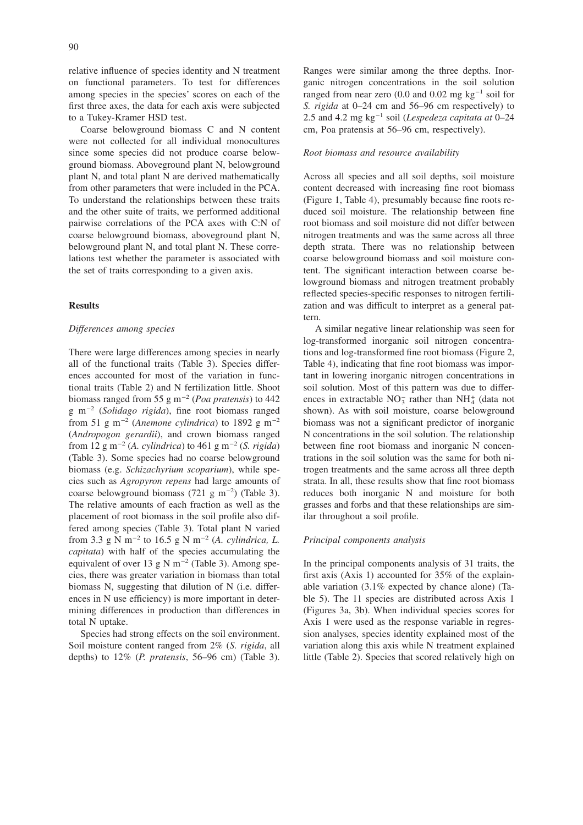relative influence of species identity and N treatment on functional parameters. To test for differences among species in the species' scores on each of the first three axes, the data for each axis were subjected to a Tukey-Kramer HSD test.

Coarse belowground biomass C and N content were not collected for all individual monocultures since some species did not produce coarse belowground biomass. Aboveground plant N, belowground plant N, and total plant N are derived mathematically from other parameters that were included in the PCA. To understand the relationships between these traits and the other suite of traits, we performed additional pairwise correlations of the PCA axes with C:N of coarse belowground biomass, aboveground plant N, belowground plant N, and total plant N. These correlations test whether the parameter is associated with the set of traits corresponding to a given axis.

# **Results**

#### *Differences among species*

There were large differences among species in nearly all of the functional traits (Table 3). Species differences accounted for most of the variation in functional traits (Table 2) and N fertilization little. Shoot biomass ranged from 55 g m−2 (*Poa pratensis*) to 442 g m−2 (*Solidago rigida*), fine root biomass ranged from 51 g m−2 (*Anemone cylindrica*) to 1892 g m−2 (*Andropogon gerardii*), and crown biomass ranged from 12 g m−2 (*A. cylindrica*) to 461 g m−2 (*S. rigida*) (Table 3). Some species had no coarse belowground biomass (e.g. *Schizachyrium scoparium*), while species such as *Agropyron repens* had large amounts of coarse belowground biomass (721 g m<sup>-2</sup>) (Table 3). The relative amounts of each fraction as well as the placement of root biomass in the soil profile also differed among species (Table 3). Total plant N varied from 3.3gNm−2 to 16.5 g N m−2 (*A. cylindrica, L. capitata*) with half of the species accumulating the equivalent of over 13 g N m<sup>-2</sup> (Table 3). Among species, there was greater variation in biomass than total biomass N, suggesting that dilution of N (i.e. differences in N use efficiency) is more important in determining differences in production than differences in total N uptake.

Species had strong effects on the soil environment. Soil moisture content ranged from 2% (*S. rigida*, all depths) to 12% (*P. pratensis*, 56–96 cm) (Table 3).

Ranges were similar among the three depths. Inorganic nitrogen concentrations in the soil solution ranged from near zero (0.0 and 0.02 mg kg<sup>-1</sup> soil for *S. rigida* at 0–24 cm and 56–96 cm respectively) to 2.5 and 4.2 mg kg−1 soil (*Lespedeza capitata at* 0–24 cm, Poa pratensis at 56–96 cm, respectively).

#### *Root biomass and resource availability*

Across all species and all soil depths, soil moisture content decreased with increasing fine root biomass (Figure 1, Table 4), presumably because fine roots reduced soil moisture. The relationship between fine root biomass and soil moisture did not differ between nitrogen treatments and was the same across all three depth strata. There was no relationship between coarse belowground biomass and soil moisture content. The significant interaction between coarse belowground biomass and nitrogen treatment probably reflected species-specific responses to nitrogen fertilization and was difficult to interpret as a general pattern.

A similar negative linear relationship was seen for log-transformed inorganic soil nitrogen concentrations and log-transformed fine root biomass (Figure 2, Table 4), indicating that fine root biomass was important in lowering inorganic nitrogen concentrations in soil solution. Most of this pattern was due to differences in extractable  $NO_3^-$  rather than  $NH_4^+$  (data not shown). As with soil moisture, coarse belowground biomass was not a significant predictor of inorganic N concentrations in the soil solution. The relationship between fine root biomass and inorganic N concentrations in the soil solution was the same for both nitrogen treatments and the same across all three depth strata. In all, these results show that fine root biomass reduces both inorganic N and moisture for both grasses and forbs and that these relationships are similar throughout a soil profile.

# *Principal components analysis*

In the principal components analysis of 31 traits, the first axis (Axis 1) accounted for 35% of the explainable variation (3.1% expected by chance alone) (Table 5). The 11 species are distributed across Axis 1 (Figures 3a, 3b). When individual species scores for Axis 1 were used as the response variable in regression analyses, species identity explained most of the variation along this axis while N treatment explained little (Table 2). Species that scored relatively high on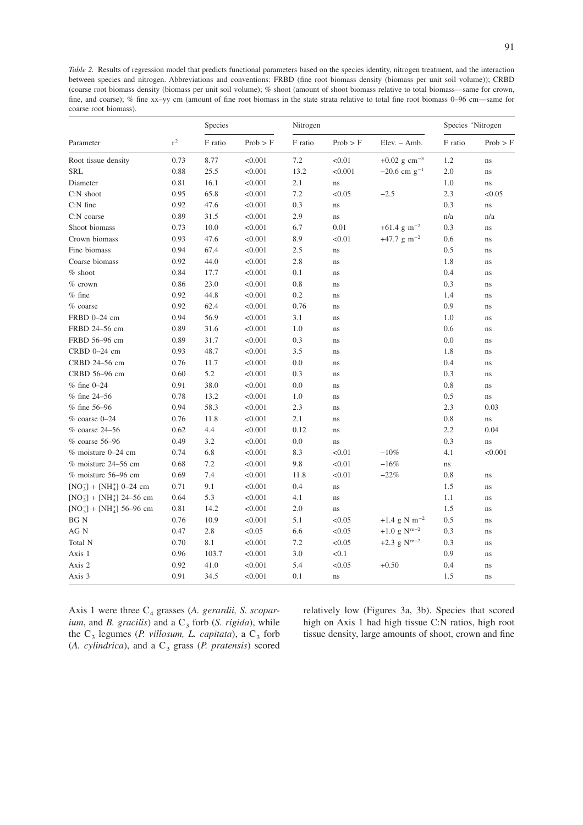*Table 2.* Results of regression model that predicts functional parameters based on the species identity, nitrogen treatment, and the interaction between species and nitrogen. Abbreviations and conventions: FRBD (fine root biomass density (biomass per unit soil volume)); CRBD (coarse root biomass density (biomass per unit soil volume); % shoot (amount of shoot biomass relative to total biomass—same for crown, fine, and coarse); % fine xx–yy cm (amount of fine root biomass in the state strata relative to total fine root biomass 0–96 cm—same for coarse root biomass).

|                          |       | Species |              | Nitrogen |          |                               | Species *Nitrogen |          |
|--------------------------|-------|---------|--------------|----------|----------|-------------------------------|-------------------|----------|
| Parameter                | $r^2$ | F ratio | $Prob$ > $F$ | F ratio  | Prob > F | Elev. - Amb.                  | F ratio           | Prob > F |
| Root tissue density      | 0.73  | 8.77    | < 0.001      | 7.2      | < 0.01   | +0.02 $\rm g \ cm^{-3}$       | 1.2               | ns       |
| <b>SRL</b>               | 0.88  | 25.5    | < 0.001      | 13.2     | < 0.001  | $-20.6$ cm $g^{-1}$           | 2.0               | ns       |
| Diameter                 | 0.81  | 16.1    | < 0.001      | 2.1      | ns       |                               | 1.0               | ns       |
| $C: N$ shoot             | 0.95  | 65.8    | < 0.001      | 7.2      | < 0.05   | $-2.5$                        | 2.3               | < 0.05   |
| $C:N$ fine               | 0.92  | 47.6    | < 0.001      | 0.3      | ns       |                               | 0.3               | ns       |
| C:N coarse               | 0.89  | 31.5    | < 0.001      | 2.9      | ns       |                               | n/a               | n/a      |
| Shoot biomass            | 0.73  | 10.0    | < 0.001      | 6.7      | 0.01     | +61.4 $\rm g$ m <sup>-2</sup> | 0.3               | ns       |
| Crown biomass            | 0.93  | 47.6    | < 0.001      | 8.9      | < 0.01   | +47.7 $\rm g\ m^{-2}$         | 0.6               | ns       |
| Fine biomass             | 0.94  | 67.4    | < 0.001      | 2.5      | ns       |                               | 0.5               | ns       |
| Coarse biomass           | 0.92  | 44.0    | < 0.001      | 2.8      | ns       |                               | 1.8               | ns       |
| $%$ shoot                | 0.84  | 17.7    | < 0.001      | 0.1      | ns       |                               | 0.4               | ns       |
| $%$ crown                | 0.86  | 23.0    | < 0.001      | 0.8      | ns       |                               | 0.3               | ns       |
| $%$ fine                 | 0.92  | 44.8    | < 0.001      | 0.2      | ns       |                               | 1.4               | ns       |
| $%$ coarse               | 0.92  | 62.4    | < 0.001      | 0.76     | ns       |                               | 0.9               | ns       |
| FRBD 0-24 cm             | 0.94  | 56.9    | < 0.001      | 3.1      | ns       |                               | 1.0               | ns       |
| FRBD 24-56 cm            | 0.89  | 31.6    | < 0.001      | 1.0      | ns       |                               | 0.6               | ns       |
| FRBD 56-96 cm            | 0.89  | 31.7    | < 0.001      | 0.3      | ns       |                               | 0.0               | ns       |
| CRBD 0-24 cm             | 0.93  | 48.7    | < 0.001      | 3.5      | ns       |                               | 1.8               | ns       |
| CRBD 24-56 cm            | 0.76  | 11.7    | < 0.001      | 0.0      | ns       |                               | 0.4               | ns       |
| CRBD 56-96 cm            | 0.60  | 5.2     | < 0.001      | 0.3      | ns       |                               | 0.3               | ns       |
| % fine 0-24              | 0.91  | 38.0    | < 0.001      | 0.0      | ns       |                               | 0.8               | ns       |
| % fine 24-56             | 0.78  | 13.2    | < 0.001      | 1.0      | ns       |                               | 0.5               | ns       |
| % fine 56-96             | 0.94  | 58.3    | < 0.001      | 2.3      | ns       |                               | 2.3               | 0.03     |
| $%$ coarse 0-24          | 0.76  | 11.8    | < 0.001      | 2.1      | ns       |                               | 0.8               | ns       |
| % coarse 24-56           | 0.62  | 4.4     | < 0.001      | 0.12     | ns       |                               | 2.2               | 0.04     |
| % coarse 56-96           | 0.49  | 3.2     | < 0.001      | 0.0      | ns       |                               | 0.3               | ns       |
| $%$ moisture 0-24 cm     | 0.74  | 6.8     | < 0.001      | 8.3      | < 0.01   | $-10%$                        | 4.1               | < 0.001  |
| $%$ moisture 24–56 cm    | 0.68  | 7.2     | < 0.001      | 9.8      | < 0.01   | $-16\%$                       | ns                |          |
| $%$ moisture 56–96 cm    | 0.69  | 7.4     | < 0.001      | 11.8     | < 0.01   | $-22%$                        | 0.8               | ns       |
| $[NO3] + [NH4] 0-24$ cm  | 0.71  | 9.1     | < 0.001      | 0.4      | ns       |                               | 1.5               | ns       |
| $[NO3] + [NH4]$ 24–56 cm | 0.64  | 5.3     | < 0.001      | 4.1      | ns       |                               | 1.1               | ns       |
| $[NO3] + [NH4] 56–96 cm$ | 0.81  | 14.2    | < 0.001      | 2.0      | ns       |                               | 1.5               | ns       |
| <b>BG</b> N              | 0.76  | 10.9    | < 0.001      | 5.1      | < 0.05   | +1.4 g N m <sup>-2</sup>      | 0.5               | ns       |
| AG N                     | 0.47  | 2.8     | < 0.05       | 6.6      | < 0.05   | $+1.0$ g N <sup>m-2</sup>     | 0.3               | ns       |
| Total N                  | 0.70  | 8.1     | < 0.001      | 7.2      | < 0.05   | +2.3 g $N^{m-2}$              | 0.3               | ns       |
| Axis 1                   | 0.96  | 103.7   | < 0.001      | 3.0      | < 0.1    |                               | 0.9               | ns       |
| Axis 2                   | 0.92  | 41.0    | < 0.001      | 5.4      | < 0.05   | $+0.50$                       | 0.4               | ns       |
| Axis 3                   | 0.91  | 34.5    | < 0.001      | 0.1      | ns       |                               | 1.5               | ns       |

Axis 1 were three C<sub>4</sub> grasses (A. gerardii, S. scopar*ium*, and *B. gracilis*) and a  $C_3$  forb (*S. rigida*), while the  $C_3$  legumes (*P. villosum, L. capitata*), a  $C_3$  forb (*A. cylindrica*), and a  $C_3$  grass (*P. pratensis*) scored relatively low (Figures 3a, 3b). Species that scored high on Axis 1 had high tissue C:N ratios, high root tissue density, large amounts of shoot, crown and fine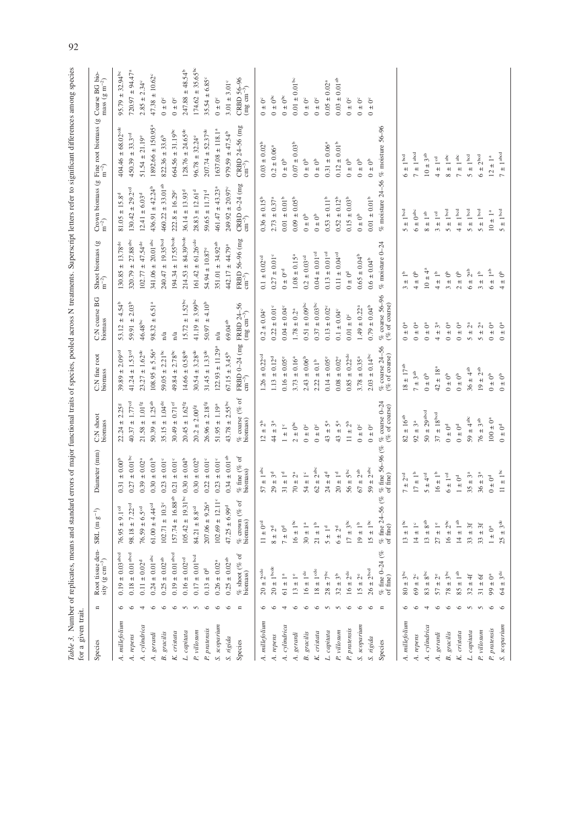| ì<br>ׇׇ֠֕֡                                        |        |
|---------------------------------------------------|--------|
| ì<br>١                                            |        |
|                                                   |        |
| š                                                 |        |
| i<br>j<br>$\overline{\phantom{a}}$                |        |
| ţ                                                 |        |
| ä<br>j<br>l<br>ì<br>í                             |        |
| Ì                                                 |        |
| l<br>5<br>i                                       |        |
| t<br>j<br>ļ                                       |        |
| í                                                 |        |
| ċ                                                 |        |
| i                                                 |        |
| ł<br>ć<br>ş                                       |        |
| Š                                                 |        |
|                                                   |        |
| J                                                 |        |
| 1<br>I<br>í<br>ś<br>l                             |        |
| í<br>Ì<br>í<br>ţ                                  |        |
| j<br><b>Contact Contact</b><br>5<br>$\frac{1}{2}$ |        |
| $\frac{1}{2}$<br>i<br>į                           |        |
|                                                   |        |
| こくらく                                              |        |
| $\sim 2.5$                                        |        |
| ı                                                 |        |
| l<br>$\ddot{\phantom{a}}$                         | į      |
| į<br>ŀ                                            | i<br>í |
|                                                   |        |

| Species            | $\blacksquare$     | Root tissue den-<br>sity (g cm <sup>-3</sup> ) | SRL (m $g^{-1}$ )                      | Diameter (mm)                           | C:N shoot<br>biomass                   | C:N fine root<br>biomass          | C:N coarse BG<br>biomass                     | Shoot biomass (g<br>m <sup>-2</sup> ) |                                     | Crown biomass (g Fine root biomass (g Coarse BG bio-<br>m <sup>-2</sup> )<br>mass (g m <sup>-2</sup> ) |                                  |
|--------------------|--------------------|------------------------------------------------|----------------------------------------|-----------------------------------------|----------------------------------------|-----------------------------------|----------------------------------------------|---------------------------------------|-------------------------------------|--------------------------------------------------------------------------------------------------------|----------------------------------|
| A. millefolium     |                    | $0.19 \pm 0.03$ <sup>abcd</sup>                | $76.95 \pm 9.1$ <sup>cd</sup>          | $0.31 \pm 0.00^{\circ}$                 | $22.24 \pm 2.25$ <sup>g</sup>          | $39.89 \pm 2.09$ <sup>cd</sup>    | $53.12 \pm 4.54^b$                           | $130.85 \pm 13.78$ <sup>de</sup>      | $81.05 \pm 15.8$ <sup>d</sup>       | $404.46 \pm 68.02$ de                                                                                  | $95.79 \pm 32.94^{\rm bc}$       |
| A. repens          |                    | $0.18 \pm 0.01$ abod                           | 98.18 ± $7.22cd$                       | $0.27 \pm 0.01$ bc                      | $40.37 \pm 1.77$ <sup>cd</sup>         | $41.24 \pm 1.53$ <sup>cd</sup>    | 59.91 $\pm$ 2.03 <sup>b</sup>                | $320.79 \pm 27.88$ abc                | $130.42 \pm 29.2$ <sup>cd</sup>     | $450.39 \pm 33.3$ <sup>od</sup>                                                                        | $720.97 \pm 94.47^{\circ}$       |
| A. cylindrica      |                    | $0.11 \pm 0.02^d$                              | $76.59 \pm 6.5$ <sup>cd</sup>          | $0.39 \pm 0.02^a$                       | $21.58 \pm 1.01$ <sup>fg</sup>         | $23.27 \pm 1.62$ <sup>de</sup>    | $46.48^{\rm bc}$                             | $102.77 \pm 47.54$ <sup>de</sup>      | $12.41 \pm 6.03$ <sup>d</sup>       | $51.54 \pm 21.19$ <sup>e</sup>                                                                         | $2.85 \pm 2.34^{\circ}$          |
| A. gerardi         | ی                  | $0.24 \pm 0.01$ <sup>abc</sup>                 | $61.00 \pm 4.44$ <sup>cd</sup>         | $0.30 \pm 0.01^{\rm b}$                 | $50.39 \pm 1.25^{ab}$                  | $108.95 \pm 5.56^a$               | $98.32 \pm 6.51^a$                           | $341.06 \pm 20.01$ abc                | $436.91 \pm 42.24^b$                | $1892.66 \pm 150.95^a$                                                                                 | $47.38 \pm 10.62^{\circ}$        |
| <b>B.</b> gracilis | $\circ$            | $0.25 \pm 0.02^{ab}$                           | $102.71 \pm 10.3^{\circ}$              | $0.23\,\pm\,0.01^{\circ}$               | $35.15 \pm 1.04^{\text{de}}$           | $59.05 \pm 2.21$ bc               | n/a                                          | $240.47 \pm 19.35$ bod                | $460.22 \pm 33.01$ <sup>ab</sup>    | $822.36 \pm 33.6^b$                                                                                    | $0\,\pm\,0^{\rm c}$              |
| K. cristata        | $\circ$            | $0.19\,\pm 0.01^{\text{abcd}}$                 | ą<br>$157.74 \pm 16.88$                | $0.21 \pm 0.01$ °                       | $30.49 \pm 0.71$ <sup>ef</sup>         | $49.84 \pm 2.78$ bc               | n/a                                          | $194.34 \pm 17.55$ bode               | $222.8 \pm 16.29$ °                 | $664.56 \pm 31.19$ <sup>bc</sup>                                                                       | $0\,\pm\,0^{\rm c}$              |
| L. capitata        | 5                  | $0.16 \pm 0.02$ <sup>cd</sup>                  | $\,$ $\,$<br>$105.42 \pm 19.31$        | $0.30\,\pm\,0.04^{\rm b}$               | $20.45 \pm 1.62$ <sup>fg</sup>         | $14.66 \pm 0.58$ <sup>de</sup>    | $15.72 \pm 1.52$ <sup>bc</sup>               | $214.53 \pm 84.39$ bcde               | $36.14 \pm 13.93$ <sup>d</sup>      | $128.76 \pm 24.65$ <sup>de</sup>                                                                       | $247.88 \pm 48.54^b$             |
| P. villosum        | 5                  | $0.17 \pm 0.01^{\text{bed}}$                   | $84.21 \pm 8.8$ $^{\rm cd}$            | $0.30 \pm 0.02^{\rm b}$                 | $20.2 \pm 2.00$ <sup>fg</sup>          | $30.54 \pm 3.28$ <sup>de</sup>    | $41.19 \pm 3.99$ <sup>bc</sup>               | $161.42 \pm 61.26$ <sup>cde</sup>     | $28.83 \pm 12.61$ <sup>d</sup>      | $96.78 \pm 32.24$ °                                                                                    | $174.62 \pm 35.65$ <sup>bc</sup> |
| P. pratensis       | $\circ$            | $0.13 \pm 0^d$                                 | $207.06 \pm 9.26^a$                    | $0.22\,\pm\,0.01^{\circ}$               | $26.96 \pm 2.18$ <sup>fg</sup>         | $31.45 \pm 1.33$ <sup>de</sup>    | $50.97 \pm 4.10^b$                           | $54.94 \pm 10.87^{\circ}$             | $59.65 \pm 11.71^d$                 | $207.74 \pm 52.37$ <sup>de</sup>                                                                       | $35.54 \pm 6.85^{\circ}$         |
| S. scoparium       | $\circ$            | $0.26 \pm 0.02^a$                              | $102.69 \pm 12.11^{\circ}$             | $0.23\,\pm\,0.01^{\circ}$               | $51.95 \pm 1.19^a$                     | $122.93 \pm 11.29^a$              | n/a                                          | $351.01 \pm 34.92$ <sup>ab</sup>      | $461.47 \pm 43.23$ <sup>a</sup>     | $1637.08 \pm 118.1^a$                                                                                  | $0\,\pm\,0^\circ$                |
| S. rigida          | $\circ$            | $0.25 \pm 0.02$ <sup>ab</sup>                  | $47.25 \pm 6.99^d$                     | $0.34\pm0.01^{\rm ab}$                  | $43.78 \pm 2.55^{\circ}$               | $67.15 \pm 3.45^{\circ}$          | $69.04^{\rm ab}$                             | $442.17 \pm 44.79^{\circ}$            | $249.92 \pm 20.97$ °                | $979.59 \pm 47.54^b$                                                                                   | $3.01 \pm 3.01$ °                |
| Species            | $\mathbf{r}$       | $\%$ shoot $(\%$ of biomass)                   | $\%$ crown (% of biomass)              | $%$ fine (% of<br>biomass)              | $\%$ coarse (% of<br>biomass)          | FRBD 0-24 (mg<br>$cm^{-3}$ )      | FRBD 24-56<br>$\rm (mg~cm^{-3})$             | FRBD 56-96 (mg<br>$\rm cm^{-3})$      | CRBD 0-24 (mg<br>$\rm cm^{-3})$     | CRBD 24-56 (mg<br>$cm^{-3}$ )                                                                          | CRBD 56-96<br>$(mg cm-3)$        |
| A. millefolium     |                    | $20 \pm 2^{\text{ode}}$                        | $11\,\pm 0^{\rm cd}$                   | $\pm$ 1 abc<br>57                       | $12 \pm 2^b$                           | $1.26 \pm 0.22$ <sup>cd</sup>     | $0.2 \pm 0.04$ °                             | $0.1\pm0.02^{\mathrm{cd}}$            | $0.36 \pm 0.15^{\rm b}$             | $0.03 \pm 0.02^b$                                                                                      | $0\,\pm\,0^{\rm c}$              |
| A. repens          |                    | $20 \pm 1^{\rm bede}$                          | $8\,\pm\,2^{\rm d}$                    | $29 \pm 3^d$                            | $44 \pm 3^a$                           | $1.13 \pm 0.12^d$                 | $0.22 \pm 0.01$ °                            | $0.27 \pm 0.01$ °                     | $2.73 \pm 0.37^{\rm a}$             | $0.2 \pm 0.06^{\rm a}$                                                                                 | $0\,\pm\,0^{\rm bc}$             |
| A. cylindrica      | 4                  | $61 \pm 1^a$                                   | $7\,\pm\,0^{\rm d}$                    | $31\,\pm\,1^{\rm d}$                    | $1\pm1^\circ$                          | $0.16\pm0.05^{\circ}$             | $0.04 \pm 0.04^{\circ}$                      | $0\,\pm\,0^{\rm cd}$                  | $0.01\pm0.01^{\,\mathrm{b}}$        | $0\,\pm\,0^{\rm b}$                                                                                    | $0\,\pm\,0^{\rm bc}$             |
| A. gerardi         | $\circ$            | $13 \pm 1^{\circ}$                             | $16\pm1^{\rm bc}$                      | $70 \pm 2^a$                            | $2\pm0^{\rm bc}$                       | $3.73 \pm 0.16^a$                 | $1.78\,\pm\,0.2^{\,\mathrm{a}}$              | $1.08 \pm 0.15^{\circ}$               | $0.09 \pm 0.05^{\rm b}$             | $0.07 \pm 0.03^b$                                                                                      | $0.01\pm0.01\, \mathrm{ke}$      |
| B. gracilis        | 6                  | $16\,\pm\,1^{\rm de}$                          | $30\pm1^{\rm a}$                       | $54 \pm 1^{\circ}$                      | $0\,\pm\,0^{\rm c}$                    | $2.43 \pm 0.06^b$                 | $0.51 \pm 0.09^{\rm bc}$                     | $0.2 \pm 0.03$ <sup>cd</sup>          | $0\,\pm\,0^{\rm b}$                 | $0\,\pm\,0^{\rm b}$                                                                                    | $0\,\pm\,0^{\rm c}$              |
| K. cristata        | $\circ$            | $18 \pm 1^{\rm{ode}}$                          | $21\pm1^{\rm b}$                       | $62 \pm 2^{\text{abc}}$                 | $0\,\pm\,0^{\rm c}$                    | $2.22 \pm 0.1^{\rm b}$            | $0.37 \pm 0.03$ bc                           | $0.04 \pm 0.01$ $^{\rm cd}$           | $0\,\pm\,0^{\rm b}$                 | $0\,\pm\,0^{\rm b}$                                                                                    | $0\,\pm\,0^{\rm c}$              |
| L. capitata        | $\sqrt{2}$         | $28\,\pm7^{\rm bc}$                            | $5 \pm 1^{\rm d}$                      | $24\,\pm\,4^{\rm d}$                    | $43 \pm 5^{\rm a}$                     | $0.14 \pm 0.05$ <sup>e</sup>      | $0.13 \pm 0.02$ <sup>c</sup>                 | $0.13 \pm 0.01$ <sup>od</sup>         | $0.53 \pm 0.11^b$                   | $0.31 \pm 0.06^a$                                                                                      | $0.05 \pm 0.02^{\rm a}$          |
| P. villosum        | 5                  | $32\,\pm\,3^{\rm b}$                           | $6 \pm 2^{\rm d}$                      | $20\,\pm\,1^{\rm d}$                    | $43 \pm 5^{\rm a}$                     | $0.08 \pm 0.02$ <sup>e</sup>      | $0.1\pm0.04^{\circ}$                         | $0.11 \pm 0.04$ <sup>cd</sup>         | $0.52 \pm 0.12^b$                   | $0.12 \pm 0.01^b$                                                                                      | $0.03\pm0.01$ $^{\rm ab}$        |
| P. pratensis       | $\circ$            | $16 \pm 2^{\text{de}}$                         | $17\pm3^{\rm bc}$                      | $56 \pm 5^{\circ}$                      | $11 \pm 2^b$                           | $0.85 \pm 0.22$ <sup>de</sup>     | $0.01\,\pm\,0^{\rm c}$                       | $0 \pm 0^d$                           | $0.15\pm0.03^{\rm b}$               | $0 \pm 0^{\rm b}$                                                                                      | $0 \pm 0^{\circ}$                |
| S. scoparium       | $\circ$            | $15 \pm 2^{\circ}$                             | $19\pm1^{\rm b}$                       | $\pm$ 2 <sup>ab</sup><br>$\Omega$       | $0\,\pm\,0^c$                          | $3.78 \pm 0.35^{a}$               | $1.49 \pm 0.22^a$                            | $0.65 \pm 0.04^b$                     | $0\pm0^{\rm b}$                     | $0\,\pm\,0^{\rm b}$                                                                                    | $0\,\pm\,0^{\rm c}$              |
| S. rigida          | $\circ$            | $26\,\pm2^{\rm bed}$                           | $15\pm1^{\rm bc}$                      | $59 \pm 2^{abc}$                        | $0\,\pm\,0^{\rm c}$                    | $2.03\,\pm\,0.14^{\rm bc}$        | $0.79 \pm 0.04^{\rm b}$                      | $0.6\pm0.04^{\rm b}$                  | $0.01 \pm 0.01^{\,\rm b}$           | $0\,\pm\,0^{\rm b}$                                                                                    | $\pm$ 0°<br>$\circ$              |
| Species            | $\mathbf{u}$       | $\%$ fine 0–24 (% of fine)                     | of,<br>% fine $24 - 56$ (<br>of fine)  | fine 56-96 (%<br>fine)<br>$\frac{2}{2}$ | $%$ coarse $0-24$<br>(% of coarse)     | % coarse $24-56$<br>(% of coarse) | $\%$ coarse 56–96 ( $\%$ of coarse)          | $%$ moisture 0-24                     | $\%$ moisture 24–56                 | $%$ moisture 56-96                                                                                     |                                  |
| A. millefolium     |                    | $80\,\pm\,3\,\mathrm{pc}$                      | $\pm$ 1 $^{\rm bc}$<br>$\overline{13}$ | $7\,\pm2^{\,\rm cd}$                    | $\pm$ 16 <sup>ab</sup><br>82           | $18 \pm 17$ <sup>ab</sup>         | $\stackrel{a}{\pm} 0^{\,a}$<br>$\circ$       | $\frac{1}{2}$<br>$\epsilon$           | $\pm$ 1 $\rm{bcd}$<br>5             | $6\,\pm\,1^{\rm bed}$                                                                                  |                                  |
| A. repens          |                    | $69 \pm 2^{\circ}$                             | $14 \pm 1^{\circ}$                     | $17\,\pm\,1^{\rm b}$                    | $\pm$ 3 <sup>a</sup><br>$\overline{5}$ | $7\,\pm\,3^{\rm ab}$              | $0\pm0^{\rm a}$                              | $4\pm0^{\rm b}$                       | $0^{\rm abc}$<br>$6 +$              | $7\,\pm\,1^{\rm abcd}$                                                                                 |                                  |
| A. cylindrica      |                    | $83\,\pm8\,^{\rm bc}$                          | $13\pm8^{\rm ab}$                      | $5\pm4^{\rm od}$                        | $50 \pm 29^{\text{abcd}}$              | $0\,\pm\,0^{\rm b}$               | $\rm \ddot{o}$<br>$\ddot{=}$ 0               | $10 \pm 4^{\rm a}$                    | $\pm$ 1 $^{\rm ab}$<br>${}^{\circ}$ | $10\,\pm\,3^{\,\mathrm{ab}}$                                                                           |                                  |
| A. gerardi         |                    | $57 \pm 2^{\circ}$                             | $27 \pm 1^{\circ}$                     | $16\pm1^{\rm b}$                        | $37\,\pm\,18^{\rm bed}$                | $42 \pm 18^a$                     | $_{\rm 3^a}$<br>$^{\rm +}$<br>$\overline{ }$ | $4\pm1^{\rm b}$                       | $1^{\rm cd}$<br>$\frac{1}{3}$       | $4\pm1^{\rm cd}$                                                                                       |                                  |
| <b>B.</b> gracilis | $\circ$            | $78\,\pm\,3^{\rm bc}$                          | $16\pm2^{\rm bc}$                      | $6\,\pm\,1^{\,\mathrm{cd}}$             | $0\,\pm\,0^{\rm d}$                    | $0\,\pm\,0^{\,\rm b}$             | $\rm ^{\rm a}$<br>$+$                        | $3\,\pm\,0^{\rm b}$                   | $5\pm1^{\rm bcd}$                   | $8\,\pm\,1^{\rm abc}$                                                                                  |                                  |
| K. cristata        | $\circ$            | $85 \pm 1^{ab}$                                | $14\pm1^{\rm ab}$                      | $1\,\pm\,0^{\rm d}$                     | $0\,\pm\,0^{\rm d}$                    | $0\,\pm\,0^{\,\rm b}$             | $0\,\pm\,0^{\,\mathrm{a}}$                   | $2\,\pm\,0^{\rm b}$                   | $4\,\pm\,1^{\rm bcd}$               | $7\,\pm\,1^{\rm abc}$                                                                                  |                                  |
| L. capitata        | $\mathbf{\hat{v}}$ | $32 \pm 4f$                                    | $33 \pm 3f$                            | $35 \pm 3^a$                            | 59 $\pm$ 4 <sup>abc</sup>              | $36 \pm 4^{ab}$                   | $2^{\rm a}$<br>$5 +$                         | $6\,\pm\,2^{\,\mathrm{ab}}$           | $5\pm1^{\rm bed}$                   | $5\pm1^{\rm bcd}$                                                                                      |                                  |
| P. villosum        | $\mathsf{S}$       | $31 \pm 6f$                                    | $33\pm3f$                              | $36 \pm 3^{\rm a}$                      | $76\,\pm\,3^{\,\mathrm{ab}}$           | $19\pm2^{\rm ab}$                 | $\mathbb{S}^{\mathfrak{a}}$<br>$\frac{+}{5}$ | $\frac{1}{\pi}$<br>3                  | $5\,\pm\,1^{\rm bed}$               | $6\,\pm\,2^{\rm bed}$                                                                                  |                                  |
| P. pratensis       | $\circ$            | 99 $\pm$ 0ª                                    | $1\,\pm\,0^{\rm a}$                    | $0\,\pm\,0^{\rm d}$                     | $100 \pm 0^{\rm a}$                    | $0\,\pm\,0^{\rm b}$               | $0\,\pm\,0^{\,\mathrm{a}}$                   | $\pm$ 1 $^{\rm ab}$<br>$\circ$        | $10\,\pm\,1^{\,\mathrm{a}}$         | $12 \pm 1^{\rm a}$                                                                                     |                                  |
| S. scoparium       |                    | $\pm$ 3 $\rm ^{de}$<br>2                       | $\pm$ 3 <sup>de</sup><br>25            | $11\pm1^{\rm bc}$                       | $\pm$ $0^{\rm d}$                      | $\pm$ 0 <sup>b</sup><br>$\circ$   | $\pm$ 0 $^{\rm a}$                           | $\pm$ 0 $^{\rm b}$                    | $\pm$ 1 $^{\rm{bcd}}$               | $7\,\pm\,1^{\rm abcd}$                                                                                 |                                  |
|                    |                    |                                                |                                        |                                         |                                        |                                   |                                              |                                       |                                     |                                                                                                        |                                  |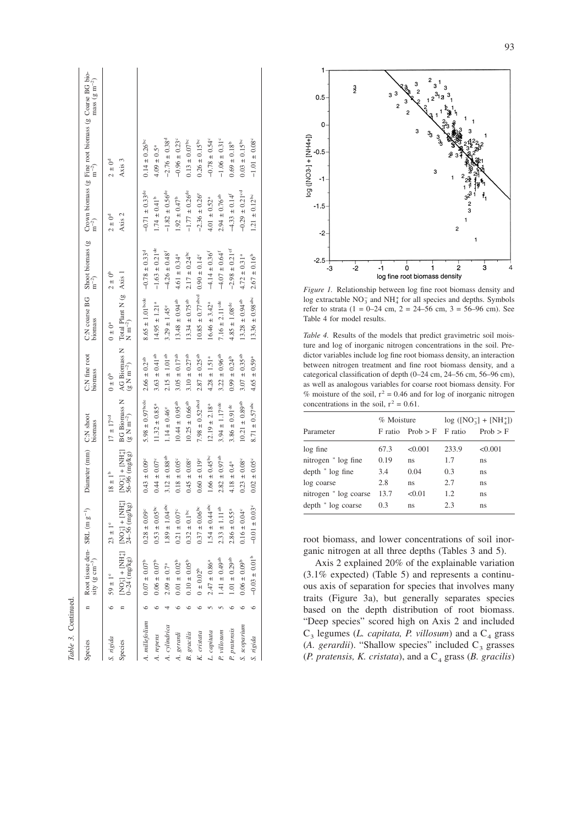|                    | mass $(g \text{ m}^{-2})$                                                                                                    |                                                                                                           |                                |                                  |                                |                                |                                |                                  |                               |                               |                               |                                |                                |
|--------------------|------------------------------------------------------------------------------------------------------------------------------|-----------------------------------------------------------------------------------------------------------|--------------------------------|----------------------------------|--------------------------------|--------------------------------|--------------------------------|----------------------------------|-------------------------------|-------------------------------|-------------------------------|--------------------------------|--------------------------------|
|                    | C:N coarse BG Shoot biomass (g Crown biomass (g Fine root biomass (g Coarse BG bio-biomass $\lim_{m\to 2} \frac{m^2}{m^2}$ ) | Axis 3<br>$2 \pm 0^{\rm d}$                                                                               | $0.14 \pm 0.26^{\rm bc}$       | $4.09 \pm 0.5^{\rm a}$           | $-2.76 \pm 0.38$ <sup>d</sup>  | $-0.96 \pm 0.23$ °             | $0.13 \pm 0.07^{\rm bc}$       | $0.26 \pm 0.15^{\rm bc}$         | $-0.78 \pm 0.54$ °            | $-1.06 \pm 0.31$ °            | $0.69 \pm 0.18^{b}$           | $0.03 \pm 0.15^{\rm bc}$       | $-1.01 \pm 0.08$ °             |
|                    |                                                                                                                              | Axis 2<br>$2 \pm 0^d$                                                                                     | $-0.71 \pm 0.33$ <sup>de</sup> | $1.74 \pm 0.41^b$                | $-1.82 \pm 0.56$ <sup>de</sup> | $1.92 \pm 0.47^{\rm b}$        | $-1.77 \pm 0.26$ <sup>de</sup> | $-2.36 \pm 0.26^{\circ}$         | $4.01 \pm 0.52^{\mathrm{a}}$  | $2.94 \pm 0.76$ <sup>ab</sup> | $-4.33 \pm 0.14$ <sup>f</sup> | $-0.29 \pm 0.21$ <sup>cd</sup> | $1.21 \pm 0.12$ bc             |
|                    |                                                                                                                              | $2 \pm 0^{\circ}$                                                                                         | $-0.78 \pm 0.33$ <sup>d</sup>  | $-1.63 \,\pm 0.21^{\mathrm{de}}$ | $-4.26 \pm 0.48$ <sup>r</sup>  | $4.61 \pm 0.34$ <sup>a</sup>   | $2.17 \pm 0.24$ be             | $0.90 \pm 0.14$ °                | $-4.14 \pm 0.36$ <sup>f</sup> | $-4.07 \pm 0.64$ <sup>f</sup> | $-2.98 \pm 0.21$ ef           | $4.72 \pm 0.31^{a}$            | $2.67 \pm 0.16^b$              |
|                    |                                                                                                                              | Total Plant N (g Axis 1 N m <sup>-2</sup> )<br>$0 \pm 0^a$                                                | $8.65 \pm 1.01^{\text{bede}}$  | $14.95 \pm 1.21^{a}$             | $3.29 \pm 1.45^{\circ}$        | $13.48 \pm 0.94$ <sup>ab</sup> | $13.34 \pm 0.75$ <sup>ab</sup> | $10.85 \pm 0.77$ <sup>abed</sup> | $16.46 \pm 3.42^{\circ}$      | $7.16 \pm 2.11$ cde           | $4.85 \pm 1.08^{\text{de}}$   | $13.28 \pm 0.94$ <sup>ab</sup> | $13.36 \pm 0.98$ abc           |
|                    | C:N fine root<br>biomass                                                                                                     | AG Biomass N<br>(g N m <sup>-2</sup> )<br>$0 \pm 0^{\rm b}$                                               | $2.66 \pm 0.2$ $^{\rm ab}$     | $3.63 \pm 0.41$ <sup>ab</sup>    | $2.15 \pm 1.01^{\text{ab}}$    | $3.05 \pm 0.17$ <sup>ab</sup>  | $3.10 \pm 0.27$ <sup>ab</sup>  | $2.87 \pm 0.25$ <sup>ab</sup>    | $4.28 \pm 1.51^a$             | $3.22 \pm 0.96$ <sup>ab</sup> | $0.99 \pm 0.24^b$             | $3.07 \pm 0.35$ <sup>ab</sup>  | $4.65 \pm 0.59$ <sup>a</sup>   |
|                    |                                                                                                                              | <b>BG</b> Biomass N<br>$(g\ N\ m^{-2})$<br>$17\,\pm\,17^{\rm cd}$                                         | $5.98 \pm 0.97^{\text{bode}}$  | $11.32 \pm 0.85^{a}$             | $1.14 \pm 0.46^{\circ}$        | $10.44 \pm 0.95^{ab}$          | $10.25 \pm 0.66^{ab}$          | $7.98 \pm 0.52$ abed             | $12.19 \pm 2.18^a$            | $3.94 \pm 1.17$ <sup>de</sup> | $3.86 \pm 0.91$ <sup>de</sup> | $10.21 \pm 0.89$ <sup>ab</sup> | $8.71 \pm 0.57$ <sup>abc</sup> |
|                    | Diameter (mm) C:N shoot<br>biomass                                                                                           | $[NO3] + [NH4]$<br>56–96 (mg/kg)<br>$18 \pm 1^{b}$                                                        | $0.43 \pm 0.09^{\circ}$        | $0.44 \pm 0.07^{\circ}$          | $3.12 \pm 0.88$ <sup>ab</sup>  | $0.18 \pm 0.05$ °              | $0.45 \pm 0.08$ °              | $0.60 \pm 0.19^{\circ}$          | $1.66\,\pm\,0.45^{\rm bc}$    | $2.82 \pm 0.97$ <sup>ab</sup> | $4.18 \pm 0.4^a$              | $0.23 \pm 0.08$ °              | $0.02 \pm 0.05$ °              |
|                    |                                                                                                                              | $23 \pm 1^{\circ}$                                                                                        | $0.28 \pm 0.09$ °              | $0.53\pm0.05^{\rm{bc}}$          | $1.89\pm1.04\, {\rm apc}$      | $0.21 \pm 0.07$ °              | $0.32\pm0.1^{\rm bc}$          | $0.37\pm0.06^{\rm{bc}}$          | $1.54\pm0.44\,\mathrm{abc}$   | $2.33 \pm 1.11^{ab}$          | $2.86 \pm 0.55$ <sup>a</sup>  | $0.16 \pm 0.04$ °              | $-0.01 \pm 0.03$ °             |
|                    | Root tissue den-SRL $(m g^{-1})$<br>sity (g $cm^{-3}$ )                                                                      | $[NO_3] + [NH_4^+]$ $[NO_3] + [NH_4^+]$<br>$0-24 \text{ (mg/kg)}$ $24-56 \text{ (mg/kg)}$<br>$59 \pm 1$ ° | $0.07 \pm 0.07^{\rm b}$        | $0.06\,\pm\,0.07^{\rm b}$        | $2.09 \pm 0.7^{\rm a}$         | $0.01 \pm 0.02^b$              | $0.10 \pm 0.05^{\rm b}$        | $0 \pm 0.02^{\rm b}$             | $2.47 \pm 0.86$ <sup>a</sup>  | $1.41 \pm 0.49$ <sup>ab</sup> | $1.01 \pm 0.29$ <sup>ab</sup> | $0.06 \pm 0.09^{\rm b}$        | $-0.03 \pm 0.01^{\circ}$       |
|                    | $\mathbf{a}$                                                                                                                 | $\mathbf{a}$                                                                                              | $\circ$                        |                                  |                                |                                |                                |                                  |                               |                               |                               |                                | ∘                              |
| Table 3. Continued | Species                                                                                                                      | S. rigida<br>Species                                                                                      | A. millefolium                 | A. repens                        | A. cylindrica                  | A. gerardi                     | <b>B.</b> gracilis             | K. cristata                      | L. capitata                   | P. villosum                   | P. pratensis                  | S. scoparium                   | S. rigida                      |



*Figure 1.* Relationship between log fine root biomass density and log extractable  $NO_3^-$  and  $NH_4^+$  for all species and depths. Symbols refer to strata  $(1 = 0-24$  cm,  $2 = 24-56$  cm,  $3 = 56-96$  cm). See Table 4 for model results.

*Table 4.* Results of the models that predict gravimetric soil moisture and log of inorganic nitrogen concentrations in the soil. Predictor variables include log fine root biomass density, an interaction between nitrogen treatment and fine root biomass density, and a categorical classi fication of depth (0 –24 cm, 24 –56 cm, 56 –96 cm), as well as analogous variables for coarse root biomass density. For % moisture of the soil,  $r^2 = 0.46$  and for log of inorganic nitrogen concentrations in the soil,  $r^2 = 0.61$ .

|                       | % Moisture |                                |       | $log ([NO3-] + [NH4+])$ |
|-----------------------|------------|--------------------------------|-------|-------------------------|
| Parameter             |            | $F$ ratio $Prob > F$ $F$ ratio |       | Prob > F                |
| log fine              | 67.3       | < 0.001                        | 233.9 | < 0.001                 |
| nitrogen * log fine   | 0.19       | ns                             | 1.7   | ns                      |
| depth * log fine      | 3.4        | 0.04                           | 0.3   | ns                      |
| log coarse            | 2.8        | ns                             | 2.7   | ns                      |
| nitrogen * log coarse | 13.7       | < 0.01                         | 1.2   | ns                      |
| depth * log coarse    | 0.3        | ns                             | 2.3   | ns                      |

root biomass, and lower concentrations of soil inorganic nitrogen at all three depths (Tables 3 and 5).

Axis 2 explained 20% of the explainable variation (3.1% expected) (Table 5) and represents a continuous axis of separation for species that involves many traits (Figure 3a), but generally separates species based on the depth distribution of root biomass. "Deep species" scored high on Axis 2 and included  $C_3$  legumes (*L. capitata, P. villosum*) and a  $C_4$  grass (*A. gerardii*). "Shallow species" included  $C_3$  grasses (*P. pratensis, K. cristata*), and a C <sup>4</sup> grass (*B. gracilis* )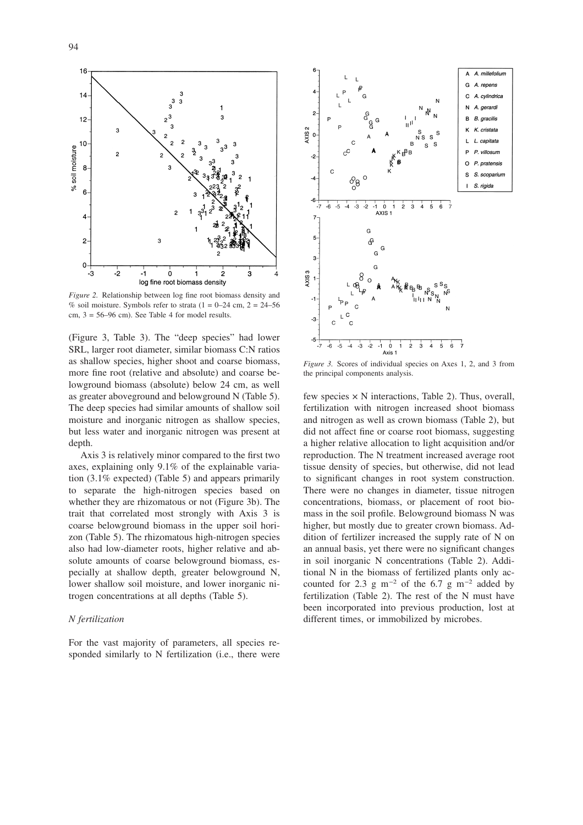

*Figure 2.* Relationship between log fine root biomass density and % soil moisture. Symbols refer to strata  $(1 = 0-24$  cm,  $2 = 24-56$ cm,  $3 = 56-96$  cm). See Table 4 for model results.

(Figure 3, Table 3). The "deep species" had lower SRL, larger root diameter, similar biomass C:N ratios as shallow species, higher shoot and coarse biomass, more fine root (relative and absolute) and coarse belowground biomass (absolute) below 24 cm, as well as greater aboveground and belowground N (Table 5). The deep species had similar amounts of shallow soil moisture and inorganic nitrogen as shallow species, but less water and inorganic nitrogen was present at depth.

Axis 3 is relatively minor compared to the first two axes, explaining only 9.1% of the explainable variation (3.1% expected) (Table 5) and appears primarily to separate the high-nitrogen species based on whether they are rhizomatous or not (Figure 3b). The trait that correlated most strongly with Axis 3 is coarse belowground biomass in the upper soil horizon (Table 5). The rhizomatous high-nitrogen species also had low-diameter roots, higher relative and absolute amounts of coarse belowground biomass, especially at shallow depth, greater belowground N, lower shallow soil moisture, and lower inorganic nitrogen concentrations at all depths (Table 5).

# *N fertilization*

For the vast majority of parameters, all species responded similarly to N fertilization (i.e., there were



*Figure 3.* Scores of individual species on Axes 1, 2, and 3 from the principal components analysis.

few species  $\times$  N interactions, Table 2). Thus, overall, fertilization with nitrogen increased shoot biomass and nitrogen as well as crown biomass (Table 2), but did not affect fine or coarse root biomass, suggesting a higher relative allocation to light acquisition and/or reproduction. The N treatment increased average root tissue density of species, but otherwise, did not lead to significant changes in root system construction. There were no changes in diameter, tissue nitrogen concentrations, biomass, or placement of root biomass in the soil profile. Belowground biomass N was higher, but mostly due to greater crown biomass. Addition of fertilizer increased the supply rate of N on an annual basis, yet there were no significant changes in soil inorganic N concentrations (Table 2). Additional N in the biomass of fertilized plants only accounted for 2.3 g m<sup>-2</sup> of the 6.7 g m<sup>-2</sup> added by fertilization (Table 2). The rest of the N must have been incorporated into previous production, lost at different times, or immobilized by microbes.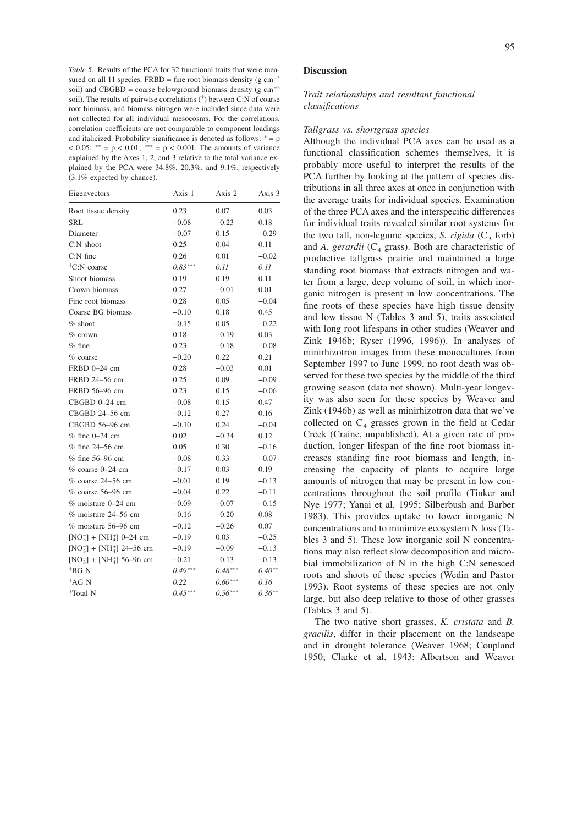*Table 5.* Results of the PCA for 32 functional traits that were measured on all 11 species. FRBD = fine root biomass density (g  $cm^{-3}$ soil) and CBGBD = coarse belowground biomass density (g cm<sup>-3</sup> soil). The results of pairwise correlations (<sup>†</sup>) between C:N of coarse root biomass, and biomass nitrogen were included since data were not collected for all individual mesocosms. For the correlations, correlation coefficients are not comparable to component loadings and italicized. Probability significance is denoted as follows:  $* = p$  $< 0.05$ ; \*\* = p  $< 0.01$ ; \*\*\* = p  $< 0.001$ . The amounts of variance explained by the Axes 1, 2, and 3 relative to the total variance explained by the PCA were 34.8%, 20.3%, and 9.1%, respectively (3.1% expected by chance).

| Eigenvectors               | Axis 1    | Axis 2    | Axis 3    |
|----------------------------|-----------|-----------|-----------|
| Root tissue density        | 0.23      | 0.07      | 0.03      |
| SRL                        | $-0.08$   | $-0.23$   | 0.18      |
| Diameter                   | $-0.07$   | 0.15      | $-0.29$   |
| $C: N$ shoot               | 0.25      | 0.04      | 0.11      |
| $C: N$ fine                | 0.26      | 0.01      | $-0.02$   |
| <sup>†</sup> C:N coarse    | $0.83***$ | 0.11      | 0.11      |
| Shoot biomass              | 0.19      | 0.19      | 0.11      |
| Crown biomass              | 0.27      | $-0.01$   | 0.01      |
| Fine root biomass          | 0.28      | 0.05      | $-0.04$   |
| Coarse BG biomass          | $-0.10$   | 0.18      | 0.45      |
| $%$ shoot                  | $-0.15$   | 0.05      | $-0.22$   |
| $%$ crown                  | 0.18      | $-0.19$   | 0.03      |
| $%$ fine                   | 0.23      | $-0.18$   | $-0.08$   |
| $%$ coarse                 | $-0.20$   | 0.22      | 0.21      |
| FRBD 0-24 cm               | 0.28      | $-0.03$   | 0.01      |
| FRBD 24-56 cm              | 0.25      | 0.09      | $-0.09$   |
| FRBD 56-96 cm              | 0.23      | 0.15      | $-0.06$   |
| CBGBD 0-24 cm              | $-0.08$   | 0.15      | 0.47      |
| CBGBD 24-56 cm             | $-0.12$   | 0.27      | 0.16      |
| CBGBD 56-96 cm             | $-0.10$   | 0.24      | $-0.04$   |
| $%$ fine 0-24 cm           | 0.02      | $-0.34$   | 0.12      |
| % fine 24–56 cm            | 0.05      | 0.30      | $-0.16$   |
| % fine 56–96 cm            | $-0.08$   | 0.33      | $-0.07$   |
| $%$ coarse 0-24 cm         | $-0.17$   | 0.03      | 0.19      |
| $\%$ coarse 24–56 cm       | $-0.01$   | 0.19      | $-0.13$   |
| $%$ coarse 56–96 cm        | $-0.04$   | 0.22      | $-0.11$   |
| $%$ moisture 0–24 cm       | $-0.09$   | $-0.07$   | $-0.15$   |
| $%$ moisture 24–56 cm      | $-0.16$   | $-0.20$   | 0.08      |
| $%$ moisture 56–96 cm      | $-0.12$   | $-0.26$   | 0.07      |
| $[NO3-] + [NH4+] 0-24 cm$  | $-0.19$   | 0.03      | $-0.25$   |
| $[NO3] + [NH4]$ 24–56 cm   | $-0.19$   | $-0.09$   | $-0.13$   |
| $[NO3-] + [NH4+] 56–96 cm$ | $-0.21$   | $-0.13$   | $-0.13$   |
| <sup>†</sup> BG N          | $0.49***$ | $0.48***$ | $0.40**$  |
| †AG N                      | 0.22      | $0.60***$ | 0.16      |
| <sup>†</sup> Total N       | $0.45***$ | $0.56***$ | $0.36***$ |

#### **Discussion**

# *Trait relationships and resultant functional classifications*

## *Tallgrass vs. shortgrass species*

Although the individual PCA axes can be used as a functional classification schemes themselves, it is probably more useful to interpret the results of the PCA further by looking at the pattern of species distributions in all three axes at once in conjunction with the average traits for individual species. Examination of the three PCA axes and the interspecific differences for individual traits revealed similar root systems for the two tall, non-legume species, *S. rigida*  $(C_3$  forb) and *A. gerardii* ( $C_4$  grass). Both are characteristic of productive tallgrass prairie and maintained a large standing root biomass that extracts nitrogen and water from a large, deep volume of soil, in which inorganic nitrogen is present in low concentrations. The fine roots of these species have high tissue density and low tissue N (Tables 3 and 5), traits associated with long root lifespans in other studies (Weaver and Zink 1946b; Ryser (1996, 1996)). In analyses of minirhizotron images from these monocultures from September 1997 to June 1999, no root death was observed for these two species by the middle of the third growing season (data not shown). Multi-year longevity was also seen for these species by Weaver and Zink (1946b) as well as minirhizotron data that we've collected on  $C_4$  grasses grown in the field at Cedar Creek (Craine, unpublished). At a given rate of production, longer lifespan of the fine root biomass increases standing fine root biomass and length, increasing the capacity of plants to acquire large amounts of nitrogen that may be present in low concentrations throughout the soil profile (Tinker and Nye 1977; Yanai et al. 1995; Silberbush and Barber 1983). This provides uptake to lower inorganic N concentrations and to minimize ecosystem N loss (Tables 3 and 5). These low inorganic soil N concentrations may also reflect slow decomposition and microbial immobilization of N in the high C:N senesced roots and shoots of these species (Wedin and Pastor 1993). Root systems of these species are not only large, but also deep relative to those of other grasses (Tables 3 and 5).

The two native short grasses, *K. cristata* and *B. gracilis*, differ in their placement on the landscape and in drought tolerance (Weaver 1968; Coupland 1950; Clarke et al. 1943; Albertson and Weaver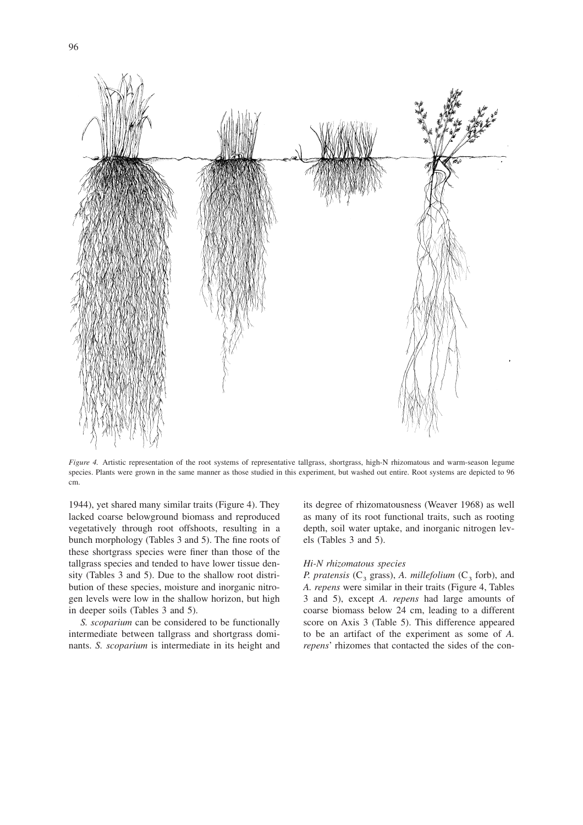

*Figure 4.* Artistic representation of the root systems of representative tallgrass, shortgrass, high-N rhizomatous and warm-season legume species. Plants were grown in the same manner as those studied in this experiment, but washed out entire. Root systems are depicted to 96 cm.

1944), yet shared many similar traits (Figure 4). They lacked coarse belowground biomass and reproduced vegetatively through root offshoots, resulting in a bunch morphology (Tables 3 and 5). The fine roots of these shortgrass species were finer than those of the tallgrass species and tended to have lower tissue density (Tables 3 and 5). Due to the shallow root distribution of these species, moisture and inorganic nitrogen levels were low in the shallow horizon, but high in deeper soils (Tables 3 and 5).

*S. scoparium* can be considered to be functionally intermediate between tallgrass and shortgrass dominants. *S. scoparium* is intermediate in its height and

its degree of rhizomatousness (Weaver 1968) as well as many of its root functional traits, such as rooting depth, soil water uptake, and inorganic nitrogen levels (Tables 3 and 5).

#### *Hi-N rhizomatous species*

*P. pratensis* ( $C_3$  grass), *A. millefolium* ( $C_3$  forb), and *A. repens* were similar in their traits (Figure 4, Tables 3 and 5), except *A. repens* had large amounts of coarse biomass below 24 cm, leading to a different score on Axis 3 (Table 5). This difference appeared to be an artifact of the experiment as some of *A. repens*' rhizomes that contacted the sides of the con-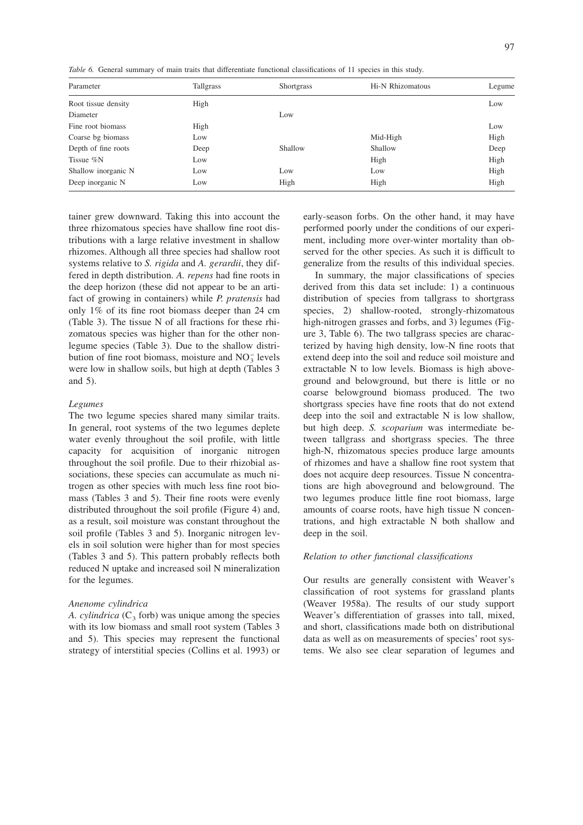*Table 6.* General summary of main traits that differentiate functional classifications of 11 species in this study.

| Parameter           | Tallgrass | Shortgrass | Hi-N Rhizomatous | Legume |
|---------------------|-----------|------------|------------------|--------|
| Root tissue density | High      |            |                  | Low    |
| Diameter            |           | Low        |                  |        |
| Fine root biomass   | High      |            |                  | Low    |
| Coarse bg biomass   | Low       |            | Mid-High         | High   |
| Depth of fine roots | Deep      | Shallow    | Shallow          | Deep   |
| Tissue %N           | Low       |            | High             | High   |
| Shallow inorganic N | Low       | Low        | Low              | High   |
| Deep inorganic N    | Low       | High       | High             | High   |

tainer grew downward. Taking this into account the three rhizomatous species have shallow fine root distributions with a large relative investment in shallow rhizomes. Although all three species had shallow root systems relative to *S. rigida* and *A. gerardii*, they differed in depth distribution. *A. repens* had fine roots in the deep horizon (these did not appear to be an artifact of growing in containers) while *P. pratensis* had only 1% of its fine root biomass deeper than 24 cm (Table 3). The tissue N of all fractions for these rhizomatous species was higher than for the other nonlegume species (Table 3). Due to the shallow distribution of fine root biomass, moisture and  $NO_3^-$  levels were low in shallow soils, but high at depth (Tables 3 and 5).

## *Legumes*

The two legume species shared many similar traits. In general, root systems of the two legumes deplete water evenly throughout the soil profile, with little capacity for acquisition of inorganic nitrogen throughout the soil profile. Due to their rhizobial associations, these species can accumulate as much nitrogen as other species with much less fine root biomass (Tables 3 and 5). Their fine roots were evenly distributed throughout the soil profile (Figure 4) and, as a result, soil moisture was constant throughout the soil profile (Tables 3 and 5). Inorganic nitrogen levels in soil solution were higher than for most species (Tables 3 and 5). This pattern probably reflects both reduced N uptake and increased soil N mineralization for the legumes.

# *Anenome cylindrica*

*A. cylindrica* ( $C_3$  forb) was unique among the species with its low biomass and small root system (Tables 3 and 5). This species may represent the functional strategy of interstitial species (Collins et al. 1993) or

early-season forbs. On the other hand, it may have performed poorly under the conditions of our experiment, including more over-winter mortality than observed for the other species. As such it is difficult to generalize from the results of this individual species.

In summary, the major classifications of species derived from this data set include: 1) a continuous distribution of species from tallgrass to shortgrass species, 2) shallow-rooted, strongly-rhizomatous high-nitrogen grasses and forbs, and 3) legumes (Figure 3, Table 6). The two tallgrass species are characterized by having high density, low-N fine roots that extend deep into the soil and reduce soil moisture and extractable N to low levels. Biomass is high aboveground and belowground, but there is little or no coarse belowground biomass produced. The two shortgrass species have fine roots that do not extend deep into the soil and extractable N is low shallow, but high deep. *S. scoparium* was intermediate between tallgrass and shortgrass species. The three high-N, rhizomatous species produce large amounts of rhizomes and have a shallow fine root system that does not acquire deep resources. Tissue N concentrations are high aboveground and belowground. The two legumes produce little fine root biomass, large amounts of coarse roots, have high tissue N concentrations, and high extractable N both shallow and deep in the soil.

#### *Relation to other functional classifications*

Our results are generally consistent with Weaver's classification of root systems for grassland plants (Weaver 1958a). The results of our study support Weaver's differentiation of grasses into tall, mixed, and short, classifications made both on distributional data as well as on measurements of species' root systems. We also see clear separation of legumes and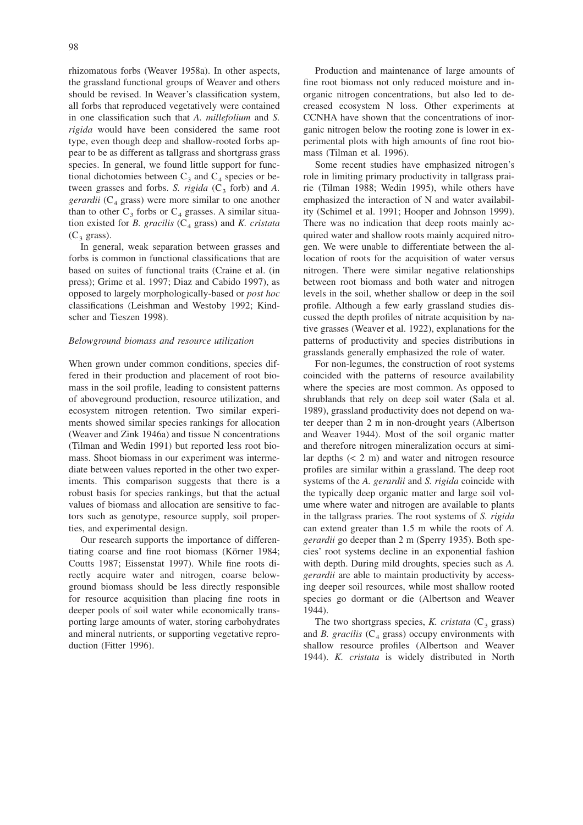rhizomatous forbs (Weaver 1958a). In other aspects, the grassland functional groups of Weaver and others should be revised. In Weaver's classification system, all forbs that reproduced vegetatively were contained in one classification such that *A. millefolium* and *S. rigida* would have been considered the same root type, even though deep and shallow-rooted forbs appear to be as different as tallgrass and shortgrass grass species. In general, we found little support for functional dichotomies between  $C_3$  and  $C_4$  species or between grasses and forbs. *S. rigida* ( $C_3$  forb) and *A. gerardii* ( $C_4$  grass) were more similar to one another than to other  $C_3$  forbs or  $C_4$  grasses. A similar situation existed for *B. gracilis* ( $C_4$  grass) and *K. cristata*  $(C<sub>3</sub>$  grass).

In general, weak separation between grasses and forbs is common in functional classifications that are based on suites of functional traits (Craine et al. (in press); Grime et al. 1997; Diaz and Cabido 1997), as opposed to largely morphologically-based or *post hoc* classifications (Leishman and Westoby 1992; Kindscher and Tieszen 1998).

## *Belowground biomass and resource utilization*

When grown under common conditions, species differed in their production and placement of root biomass in the soil profile, leading to consistent patterns of aboveground production, resource utilization, and ecosystem nitrogen retention. Two similar experiments showed similar species rankings for allocation (Weaver and Zink 1946a) and tissue N concentrations (Tilman and Wedin 1991) but reported less root biomass. Shoot biomass in our experiment was intermediate between values reported in the other two experiments. This comparison suggests that there is a robust basis for species rankings, but that the actual values of biomass and allocation are sensitive to factors such as genotype, resource supply, soil properties, and experimental design.

Our research supports the importance of differentiating coarse and fine root biomass (Körner 1984; Coutts 1987; Eissenstat 1997). While fine roots directly acquire water and nitrogen, coarse belowground biomass should be less directly responsible for resource acquisition than placing fine roots in deeper pools of soil water while economically transporting large amounts of water, storing carbohydrates and mineral nutrients, or supporting vegetative reproduction (Fitter 1996).

Production and maintenance of large amounts of fine root biomass not only reduced moisture and inorganic nitrogen concentrations, but also led to decreased ecosystem N loss. Other experiments at CCNHA have shown that the concentrations of inorganic nitrogen below the rooting zone is lower in experimental plots with high amounts of fine root biomass (Tilman et al. 1996).

Some recent studies have emphasized nitrogen's role in limiting primary productivity in tallgrass prairie (Tilman 1988; Wedin 1995), while others have emphasized the interaction of N and water availability (Schimel et al. 1991; Hooper and Johnson 1999). There was no indication that deep roots mainly acquired water and shallow roots mainly acquired nitrogen. We were unable to differentiate between the allocation of roots for the acquisition of water versus nitrogen. There were similar negative relationships between root biomass and both water and nitrogen levels in the soil, whether shallow or deep in the soil profile. Although a few early grassland studies discussed the depth profiles of nitrate acquisition by native grasses (Weaver et al. 1922), explanations for the patterns of productivity and species distributions in grasslands generally emphasized the role of water.

For non-legumes, the construction of root systems coincided with the patterns of resource availability where the species are most common. As opposed to shrublands that rely on deep soil water (Sala et al. 1989), grassland productivity does not depend on water deeper than 2 m in non-drought years (Albertson and Weaver 1944). Most of the soil organic matter and therefore nitrogen mineralization occurs at similar depths  $(< 2 \, \text{m})$  and water and nitrogen resource profiles are similar within a grassland. The deep root systems of the *A. gerardii* and *S. rigida* coincide with the typically deep organic matter and large soil volume where water and nitrogen are available to plants in the tallgrass praries. The root systems of *S. rigida* can extend greater than 1.5 m while the roots of *A. gerardii* go deeper than 2 m (Sperry 1935). Both species' root systems decline in an exponential fashion with depth. During mild droughts, species such as *A. gerardii* are able to maintain productivity by accessing deeper soil resources, while most shallow rooted species go dormant or die (Albertson and Weaver 1944).

The two shortgrass species, *K. cristata*  $(C_3$  grass) and *B. gracilis* ( $C_4$  grass) occupy environments with shallow resource profiles (Albertson and Weaver 1944). *K. cristata* is widely distributed in North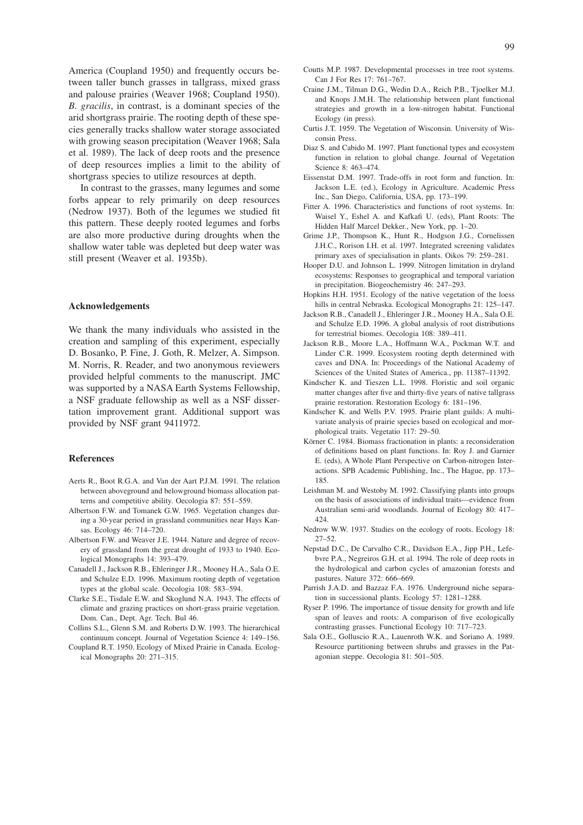America (Coupland 1950) and frequently occurs between taller bunch grasses in tallgrass, mixed grass and palouse prairies (Weaver 1968; Coupland 1950). *B. gracilis*, in contrast, is a dominant species of the arid shortgrass prairie. The rooting depth of these species generally tracks shallow water storage associated with growing season precipitation (Weaver 1968; Sala et al. 1989). The lack of deep roots and the presence of deep resources implies a limit to the ability of shortgrass species to utilize resources at depth.

In contrast to the grasses, many legumes and some forbs appear to rely primarily on deep resources (Nedrow 1937). Both of the legumes we studied fit this pattern. These deeply rooted legumes and forbs are also more productive during droughts when the shallow water table was depleted but deep water was still present (Weaver et al. 1935b).

#### **Acknowledgements**

We thank the many individuals who assisted in the creation and sampling of this experiment, especially D. Bosanko, P. Fine, J. Goth, R. Melzer, A. Simpson. M. Norris, R. Reader, and two anonymous reviewers provided helpful comments to the manuscript. JMC was supported by a NASA Earth Systems Fellowship, a NSF graduate fellowship as well as a NSF dissertation improvement grant. Additional support was provided by NSF grant 9411972.

#### **References**

- Aerts R., Boot R.G.A. and Van der Aart P.J.M. 1991. The relation between aboveground and belowground biomass allocation patterns and competitive ability. Oecologia 87: 551–559.
- Albertson F.W. and Tomanek G.W. 1965. Vegetation changes during a 30-year period in grassland communities near Hays Kansas. Ecology 46: 714–720.
- Albertson F.W. and Weaver J.E. 1944. Nature and degree of recovery of grassland from the great drought of 1933 to 1940. Ecological Monographs 14: 393–479.
- Canadell J., Jackson R.B., Ehleringer J.R., Mooney H.A., Sala O.E. and Schulze E.D. 1996. Maximum rooting depth of vegetation types at the global scale. Oecologia 108: 583–594.
- Clarke S.E., Tisdale E.W. and Skoglund N.A. 1943. The effects of climate and grazing practices on short-grass prairie vegetation. Dom. Can., Dept. Agr. Tech. Bul 46.
- Collins S.L., Glenn S.M. and Roberts D.W. 1993. The hierarchical continuum concept. Journal of Vegetation Science 4: 149–156.
- Coupland R.T. 1950. Ecology of Mixed Prairie in Canada. Ecological Monographs 20: 271–315.
- Coutts M.P. 1987. Developmental processes in tree root systems. Can J For Res 17: 761–767.
- Craine J.M., Tilman D.G., Wedin D.A., Reich P.B., Tjoelker M.J. and Knops J.M.H. The relationship between plant functional strategies and growth in a low-nitrogen habitat. Functional Ecology (in press).
- Curtis J.T. 1959. The Vegetation of Wisconsin. University of Wisconsin Press.
- Diaz S. and Cabido M. 1997. Plant functional types and ecosystem function in relation to global change. Journal of Vegetation Science 8: 463–474.
- Eissenstat D.M. 1997. Trade-offs in root form and function. In: Jackson L.E. (ed.), Ecology in Agriculture. Academic Press Inc., San Diego, California, USA, pp. 173–199.
- Fitter A. 1996. Characteristics and functions of root systems. In: Waisel Y., Eshel A. and Kafkafi U. (eds), Plant Roots: The Hidden Half Marcel Dekker., New York, pp. 1–20.
- Grime J.P., Thompson K., Hunt R., Hodgson J.G., Cornelissen J.H.C., Rorison I.H. et al. 1997. Integrated screening validates primary axes of specialisation in plants. Oikos 79: 259–281.
- Hooper D.U. and Johnson L. 1999. Nitrogen limitation in dryland ecosystems: Responses to geographical and temporal variation in precipitation. Biogeochemistry 46: 247–293.
- Hopkins H.H. 1951. Ecology of the native vegetation of the loess hills in central Nebraska. Ecological Monographs 21: 125–147.
- Jackson R.B., Canadell J., Ehleringer J.R., Mooney H.A., Sala O.E. and Schulze E.D. 1996. A global analysis of root distributions for terrestrial biomes. Oecologia 108: 389–411.
- Jackson R.B., Moore L.A., Hoffmann W.A., Pockman W.T. and Linder C.R. 1999. Ecosystem rooting depth determined with caves and DNA. In: Proceedings of the National Academy of Sciences of the United States of America., pp. 11387–11392.
- Kindscher K. and Tieszen L.L. 1998. Floristic and soil organic matter changes after five and thirty-five years of native tallgrass prairie restoration. Restoration Ecology 6: 181–196.
- Kindscher K. and Wells P.V. 1995. Prairie plant guilds: A multivariate analysis of prairie species based on ecological and morphological traits. Vegetatio 117: 29–50.
- Körner C. 1984. Biomass fractionation in plants: a reconsideration of definitions based on plant functions. In: Roy J. and Garnier E. (eds), A Whole Plant Perspective on Carbon-nitrogen Interactions. SPB Academic Publishing, Inc., The Hague, pp. 173– 185.
- Leishman M. and Westoby M. 1992. Classifying plants into groups on the basis of associations of individual traits—evidence from Australian semi-arid woodlands. Journal of Ecology 80: 417– 424.
- Nedrow W.W. 1937. Studies on the ecology of roots. Ecology 18: 27–52.
- Nepstad D.C., De Carvalho C.R., Davidson E.A., Jipp P.H., Lefebvre P.A., Negreiros G.H. et al. 1994. The role of deep roots in the hydrological and carbon cycles of amazonian forests and pastures. Nature 372: 666–669.
- Parrish J.A.D. and Bazzaz F.A. 1976. Underground niche separation in successional plants. Ecology 57: 1281–1288.
- Ryser P. 1996. The importance of tissue density for growth and life span of leaves and roots: A comparison of five ecologically contrasting grasses. Functional Ecology 10: 717–723.
- Sala O.E., Golluscio R.A., Lauenroth W.K. and Soriano A. 1989. Resource partitioning between shrubs and grasses in the Patagonian steppe. Oecologia 81: 501–505.